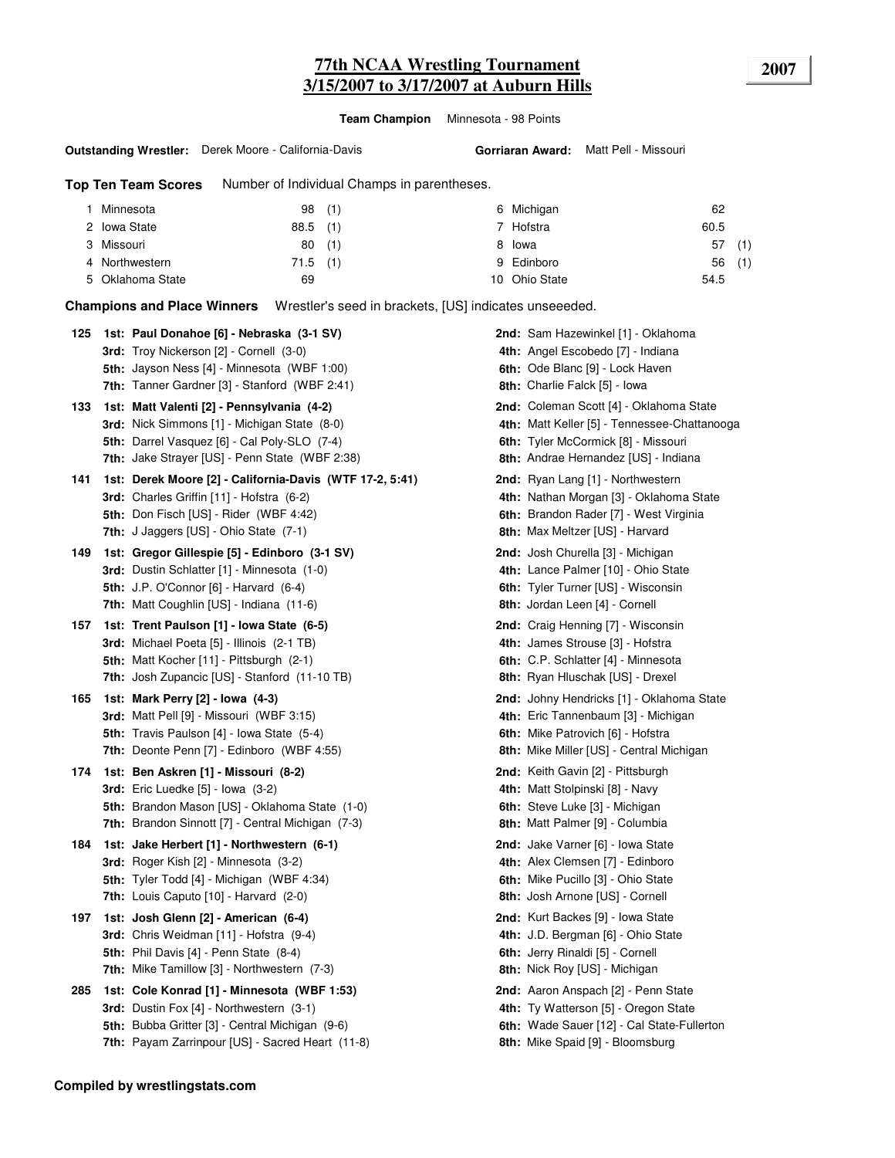### **77th NCAA Wrestling Tournament 2007 3/15/2007 to 3/17/2007 at Auburn Hills**

**Team Champion** Minnesota - 98 Points

#### **Outstanding Wrestler:** Derek Moore - California-Davis

**Gorriaran Award:** Matt Pell - Missouri

**Top Ten Team Scores** Number of Individual Champs in parentheses.

| Minnesota        | 98(1)      | 6 Michigan    | 62        |
|------------------|------------|---------------|-----------|
| 2 Iowa State     | $88.5$ (1) | 7 Hofstra     | 60.5      |
| 3 Missouri       | (1)<br>80  | 8 Iowa        | (1)<br>57 |
| 4 Northwestern   | $71.5$ (1) | 9 Edinboro    | 56(1)     |
| 5 Oklahoma State | 69         | 10 Ohio State | 54.5      |

**Champions and Place Winners** Wrestler's seed in brackets, [US] indicates unseeeded.

|     | 125 1st: Paul Donahoe [6] - Nebraska (3-1 SV)<br>3rd: Troy Nickerson [2] - Cornell (3-0)<br>5th: Jayson Ness [4] - Minnesota (WBF 1:00)<br>7th: Tanner Gardner [3] - Stanford (WBF 2:41)           | 2nd: Sam Hazewinkel [1] - Oklahoma<br>4th: Angel Escobedo [7] - Indiana<br>6th: Ode Blanc [9] - Lock Haven<br>8th: Charlie Falck [5] - Iowa                            |
|-----|----------------------------------------------------------------------------------------------------------------------------------------------------------------------------------------------------|------------------------------------------------------------------------------------------------------------------------------------------------------------------------|
| 133 | 1st: Matt Valenti [2] - Pennsylvania (4-2)<br>3rd: Nick Simmons [1] - Michigan State (8-0)<br>5th: Darrel Vasquez [6] - Cal Poly-SLO (7-4)<br>7th: Jake Strayer [US] - Penn State (WBF 2:38)       | 2nd: Coleman Scott [4] - Oklahoma State<br>4th: Matt Keller [5] - Tennessee-Chattanooga<br>6th: Tyler McCormick [8] - Missouri<br>8th: Andrae Hernandez [US] - Indiana |
| 141 | 1st: Derek Moore [2] - California-Davis (WTF 17-2, 5:41)<br>3rd: Charles Griffin [11] - Hofstra (6-2)<br>5th: Don Fisch [US] - Rider (WBF 4:42)<br><b>7th:</b> J Jaggers [US] - Ohio State (7-1)   | 2nd: Ryan Lang [1] - Northwestern<br>4th: Nathan Morgan [3] - Oklahoma State<br>6th: Brandon Rader [7] - West Virginia<br>8th: Max Meltzer [US] - Harvard              |
| 149 | 1st: Gregor Gillespie [5] - Edinboro (3-1 SV)<br><b>3rd:</b> Dustin Schlatter [1] - Minnesota (1-0)<br>5th: J.P. O'Connor [6] - Harvard (6-4)<br><b>7th:</b> Matt Coughlin [US] - Indiana (11-6)   | 2nd: Josh Churella [3] - Michigan<br>4th: Lance Palmer [10] - Ohio State<br>6th: Tyler Turner [US] - Wisconsin<br>8th: Jordan Leen [4] - Cornell                       |
| 157 | 1st: Trent Paulson [1] - Iowa State (6-5)<br>3rd: Michael Poeta [5] - Illinois (2-1 TB)<br>5th: Matt Kocher [11] - Pittsburgh (2-1)<br>7th: Josh Zupancic [US] - Stanford (11-10 TB)               | <b>2nd:</b> Craig Henning [7] - Wisconsin<br>4th: James Strouse [3] - Hofstra<br>6th: C.P. Schlatter [4] - Minnesota<br>8th: Ryan Hluschak [US] - Drexel               |
| 165 | 1st: Mark Perry [2] - Iowa (4-3)<br>3rd: Matt Pell [9] - Missouri (WBF 3:15)<br>5th: Travis Paulson [4] - Iowa State (5-4)<br>7th: Deonte Penn [7] - Edinboro (WBF 4:55)                           | 2nd: Johny Hendricks [1] - Oklahoma State<br>4th: Eric Tannenbaum [3] - Michigan<br>6th: Mike Patrovich [6] - Hofstra<br>8th: Mike Miller [US] - Central Michigan      |
| 174 | 1st: Ben Askren [1] - Missouri (8-2)<br><b>3rd:</b> Eric Luedke $[5]$ - lowa $(3-2)$<br>5th: Brandon Mason [US] - Oklahoma State (1-0)<br><b>7th:</b> Brandon Sinnott [7] - Central Michigan (7-3) | <b>2nd:</b> Keith Gavin [2] - Pittsburgh<br>4th: Matt Stolpinski [8] - Navy<br>6th: Steve Luke [3] - Michigan<br>8th: Matt Palmer [9] - Columbia                       |
| 184 | 1st: Jake Herbert [1] - Northwestern (6-1)<br><b>3rd:</b> Roger Kish [2] - Minnesota (3-2)<br>5th: Tyler Todd [4] - Michigan (WBF 4:34)<br>7th: Louis Caputo [10] - Harvard (2-0)                  | 2nd: Jake Varner [6] - Iowa State<br>4th: Alex Clemsen [7] - Edinboro<br>6th: Mike Pucillo [3] - Ohio State<br>8th: Josh Arnone [US] - Cornell                         |
| 197 | 1st: Josh Glenn [2] - American (6-4)<br>3rd: Chris Weidman [11] - Hofstra (9-4)<br>5th: Phil Davis [4] - Penn State (8-4)<br><b>7th:</b> Mike Tamillow [3] - Northwestern (7-3)                    | 2nd: Kurt Backes [9] - Iowa State<br>4th: J.D. Bergman [6] - Ohio State<br>6th: Jerry Rinaldi [5] - Cornell<br>8th: Nick Roy [US] - Michigan                           |
| 285 | 1st: Cole Konrad [1] - Minnesota (WBF 1:53)<br>3rd: Dustin Fox [4] - Northwestern (3-1)<br>5th: Bubba Gritter [3] - Central Michigan (9-6)<br>7th: Payam Zarrinpour [US] - Sacred Heart (11-8)     | 2nd: Aaron Anspach [2] - Penn State<br>4th: Ty Watterson [5] - Oregon State<br>6th: Wade Sauer [12] - Cal State-Fullerton<br>8th: Mike Spaid [9] - Bloomsburg          |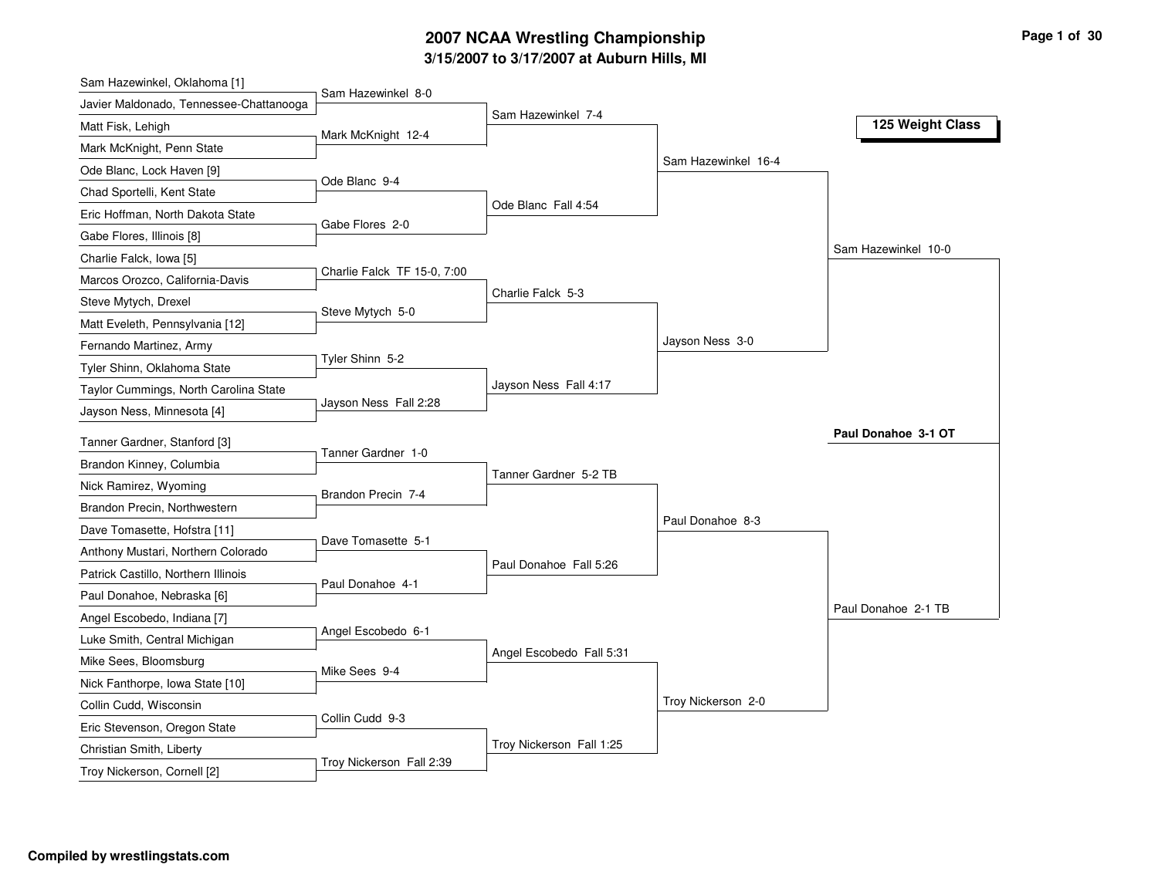### **3/15/2007 to 3/17/2007 at Auburn Hills, MI 2007 NCAA Wrestling Championship Page 1 of 30**

| Sam Hazewinkel, Oklahoma [1]            |                             |                          |                     |                     |
|-----------------------------------------|-----------------------------|--------------------------|---------------------|---------------------|
| Javier Maldonado, Tennessee-Chattanooga | Sam Hazewinkel 8-0          | Sam Hazewinkel 7-4       |                     |                     |
| Matt Fisk, Lehigh                       | Mark McKnight 12-4          |                          |                     | 125 Weight Class    |
| Mark McKnight, Penn State               |                             |                          |                     |                     |
| Ode Blanc, Lock Haven [9]               |                             |                          | Sam Hazewinkel 16-4 |                     |
| Chad Sportelli, Kent State              | Ode Blanc 9-4               |                          |                     |                     |
| Eric Hoffman, North Dakota State        |                             | Ode Blanc Fall 4:54      |                     |                     |
| Gabe Flores, Illinois [8]               | Gabe Flores 2-0             |                          |                     |                     |
| Charlie Falck, Iowa [5]                 |                             |                          |                     | Sam Hazewinkel 10-0 |
| Marcos Orozco, California-Davis         | Charlie Falck TF 15-0, 7:00 |                          |                     |                     |
| Steve Mytych, Drexel                    |                             | Charlie Falck 5-3        |                     |                     |
| Matt Eveleth, Pennsylvania [12]         | Steve Mytych 5-0            |                          |                     |                     |
| Fernando Martinez, Army                 |                             |                          | Jayson Ness 3-0     |                     |
| Tyler Shinn, Oklahoma State             | Tyler Shinn 5-2             |                          |                     |                     |
| Taylor Cummings, North Carolina State   |                             | Jayson Ness Fall 4:17    |                     |                     |
| Jayson Ness, Minnesota [4]              | Jayson Ness Fall 2:28       |                          |                     |                     |
| Tanner Gardner, Stanford [3]            |                             |                          |                     | Paul Donahoe 3-1 OT |
| Brandon Kinney, Columbia                | Tanner Gardner 1-0          |                          |                     |                     |
| Nick Ramirez, Wyoming                   |                             | Tanner Gardner 5-2 TB    |                     |                     |
|                                         | Brandon Precin 7-4          |                          |                     |                     |
| Brandon Precin, Northwestern            |                             |                          | Paul Donahoe 8-3    |                     |
| Dave Tomasette, Hofstra [11]            | Dave Tomasette 5-1          |                          |                     |                     |
| Anthony Mustari, Northern Colorado      |                             | Paul Donahoe Fall 5:26   |                     |                     |
| Patrick Castillo, Northern Illinois     | Paul Donahoe 4-1            |                          |                     |                     |
| Paul Donahoe, Nebraska [6]              |                             |                          |                     | Paul Donahoe 2-1 TB |
| Angel Escobedo, Indiana [7]             | Angel Escobedo 6-1          |                          |                     |                     |
| Luke Smith, Central Michigan            |                             | Angel Escobedo Fall 5:31 |                     |                     |
| Mike Sees, Bloomsburg                   | Mike Sees 9-4               |                          |                     |                     |
| Nick Fanthorpe, Iowa State [10]         |                             |                          | Troy Nickerson 2-0  |                     |
| Collin Cudd, Wisconsin                  | Collin Cudd 9-3             |                          |                     |                     |
| Eric Stevenson, Oregon State            |                             | Troy Nickerson Fall 1:25 |                     |                     |
| Christian Smith, Liberty                | Troy Nickerson Fall 2:39    |                          |                     |                     |
| Troy Nickerson, Cornell [2]             |                             |                          |                     |                     |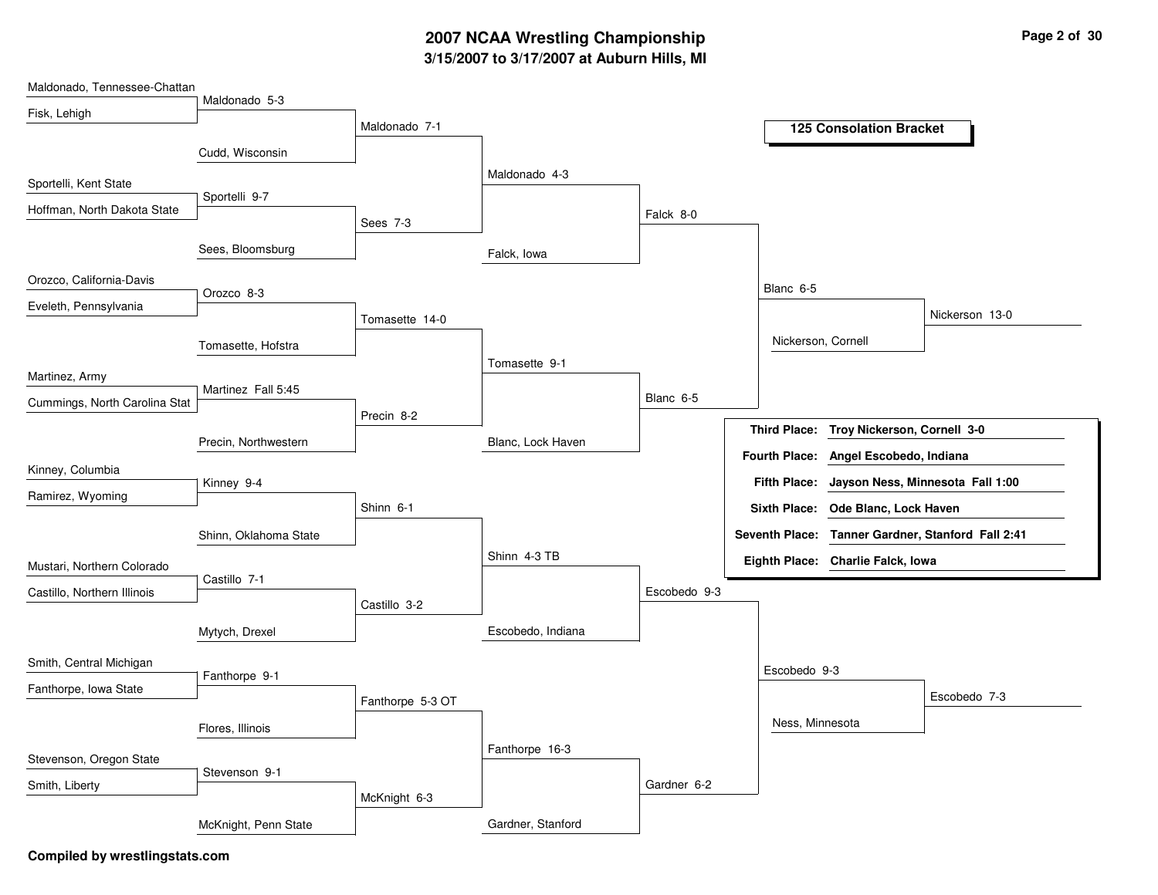# **3/15/2007 to 3/17/2007 at Auburn Hills, MI 2007 NCAA Wrestling Championship Page 2 of 30**

| Maldonado, Tennessee-Chattan  |                       |                  |                   |              |                      |                                   |                                                   |
|-------------------------------|-----------------------|------------------|-------------------|--------------|----------------------|-----------------------------------|---------------------------------------------------|
| Fisk, Lehigh                  | Maldonado 5-3         |                  |                   |              |                      |                                   |                                                   |
|                               |                       | Maldonado 7-1    |                   |              |                      | <b>125 Consolation Bracket</b>    |                                                   |
|                               | Cudd, Wisconsin       |                  |                   |              |                      |                                   |                                                   |
| Sportelli, Kent State         |                       |                  | Maldonado 4-3     |              |                      |                                   |                                                   |
|                               | Sportelli 9-7         |                  |                   |              |                      |                                   |                                                   |
| Hoffman, North Dakota State   |                       | Sees 7-3         |                   | Falck 8-0    |                      |                                   |                                                   |
|                               | Sees, Bloomsburg      |                  | Falck, Iowa       |              |                      |                                   |                                                   |
| Orozco, California-Davis      |                       |                  |                   |              | Blanc 6-5            |                                   |                                                   |
| Eveleth, Pennsylvania         | Orozco 8-3            |                  |                   |              |                      |                                   |                                                   |
|                               |                       | Tomasette 14-0   |                   |              |                      |                                   | Nickerson 13-0                                    |
|                               | Tomasette, Hofstra    |                  |                   |              | Nickerson, Cornell   |                                   |                                                   |
|                               |                       |                  | Tomasette 9-1     |              |                      |                                   |                                                   |
| Martinez, Army                | Martinez Fall 5:45    |                  |                   |              |                      |                                   |                                                   |
| Cummings, North Carolina Stat |                       | Precin 8-2       |                   | Blanc 6-5    |                      |                                   |                                                   |
|                               | Precin, Northwestern  |                  | Blanc, Lock Haven |              | <b>Third Place:</b>  | Troy Nickerson, Cornell 3-0       |                                                   |
| Kinney, Columbia              |                       |                  |                   |              | <b>Fourth Place:</b> | Angel Escobedo, Indiana           |                                                   |
|                               | Kinney 9-4            |                  |                   |              | <b>Fifth Place:</b>  |                                   | Jayson Ness, Minnesota Fall 1:00                  |
| Ramirez, Wyoming              |                       | Shinn 6-1        |                   |              | <b>Sixth Place:</b>  | Ode Blanc, Lock Haven             |                                                   |
|                               | Shinn, Oklahoma State |                  |                   |              |                      |                                   | Seventh Place: Tanner Gardner, Stanford Fall 2:41 |
| Mustari, Northern Colorado    |                       |                  | Shinn 4-3 TB      |              |                      | Eighth Place: Charlie Falck, Iowa |                                                   |
| Castillo, Northern Illinois   | Castillo 7-1          |                  |                   | Escobedo 9-3 |                      |                                   |                                                   |
|                               |                       | Castillo 3-2     |                   |              |                      |                                   |                                                   |
|                               | Mytych, Drexel        |                  | Escobedo, Indiana |              |                      |                                   |                                                   |
| Smith, Central Michigan       |                       |                  |                   |              | Escobedo 9-3         |                                   |                                                   |
| Fanthorpe, Iowa State         | Fanthorpe 9-1         |                  |                   |              |                      |                                   |                                                   |
|                               |                       | Fanthorpe 5-3 OT |                   |              |                      |                                   | Escobedo 7-3                                      |
|                               | Flores, Illinois      |                  |                   |              | Ness, Minnesota      |                                   |                                                   |
| Stevenson, Oregon State       |                       |                  | Fanthorpe 16-3    |              |                      |                                   |                                                   |
| Smith, Liberty                | Stevenson 9-1         |                  |                   | Gardner 6-2  |                      |                                   |                                                   |
|                               |                       | McKnight 6-3     |                   |              |                      |                                   |                                                   |
|                               | McKnight, Penn State  |                  | Gardner, Stanford |              |                      |                                   |                                                   |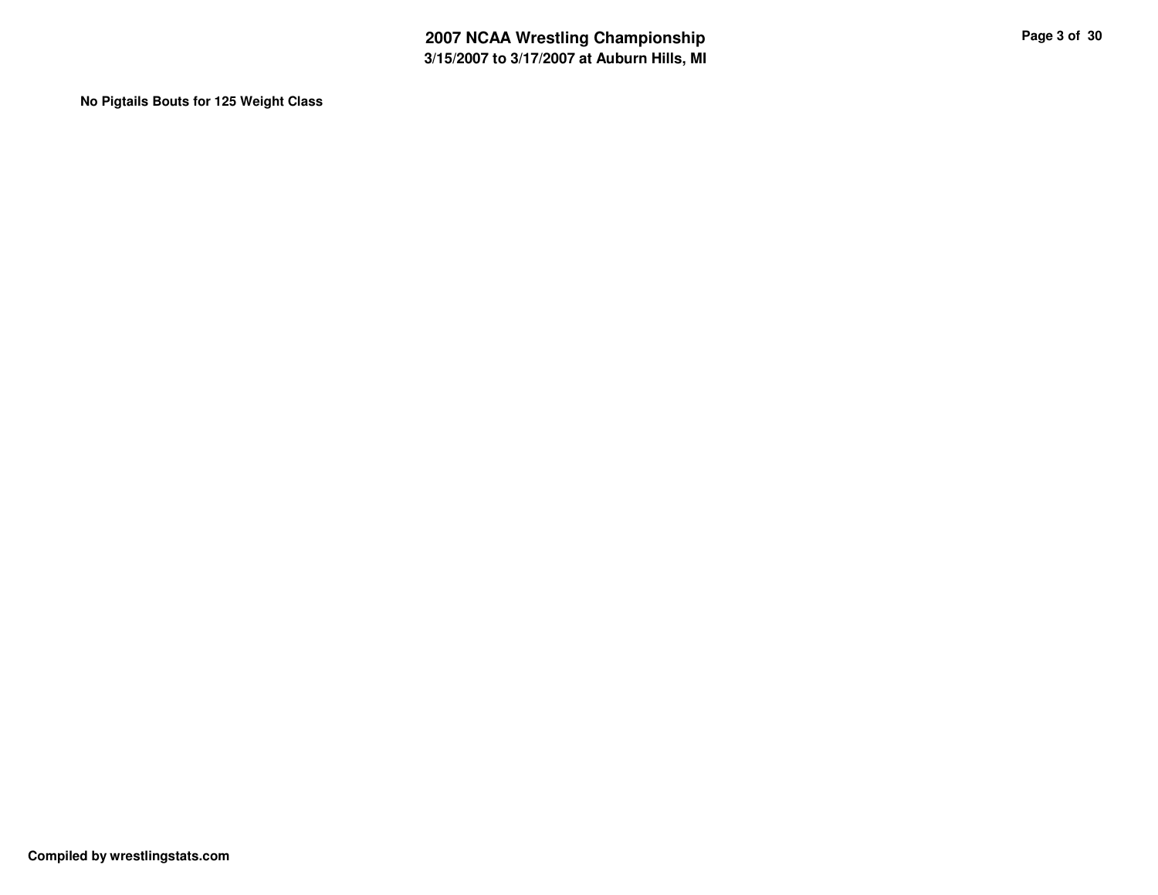**No Pigtails Bouts for 125 Weight Class**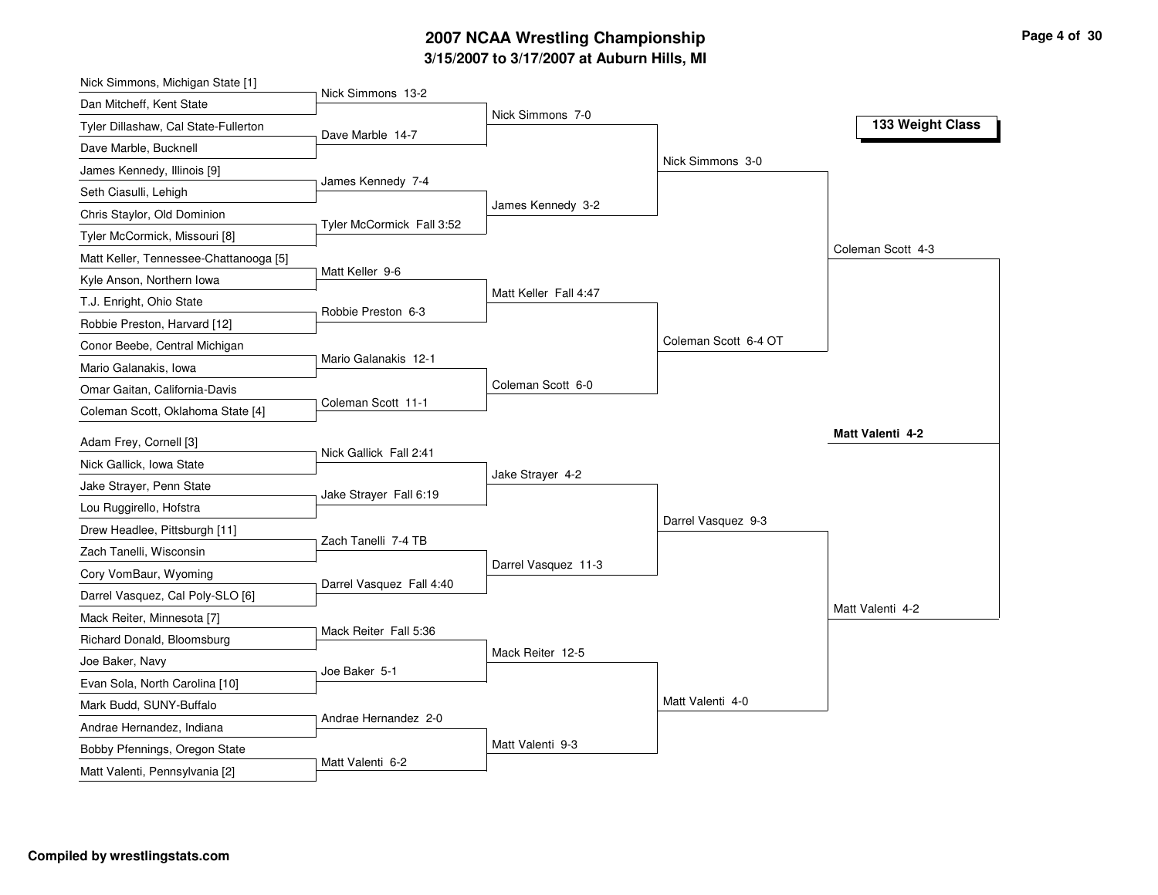### **3/15/2007 to 3/17/2007 at Auburn Hills, MI 2007 NCAA Wrestling Championship Page 4 of 30**

| Nick Simmons, Michigan State [1]                           |                           |                       |                      |                         |
|------------------------------------------------------------|---------------------------|-----------------------|----------------------|-------------------------|
| Dan Mitcheff, Kent State                                   | Nick Simmons 13-2         |                       |                      |                         |
| Tyler Dillashaw, Cal State-Fullerton                       | Dave Marble 14-7          | Nick Simmons 7-0      |                      | 133 Weight Class        |
| Dave Marble, Bucknell                                      |                           |                       |                      |                         |
| James Kennedy, Illinois [9]                                |                           |                       | Nick Simmons 3-0     |                         |
| Seth Ciasulli, Lehigh                                      | James Kennedy 7-4         |                       |                      |                         |
| Chris Staylor, Old Dominion                                |                           | James Kennedy 3-2     |                      |                         |
| Tyler McCormick, Missouri [8]                              | Tyler McCormick Fall 3:52 |                       |                      |                         |
| Matt Keller, Tennessee-Chattanooga [5]                     |                           |                       |                      | Coleman Scott 4-3       |
| Kyle Anson, Northern Iowa                                  | Matt Keller 9-6           |                       |                      |                         |
| T.J. Enright, Ohio State                                   |                           | Matt Keller Fall 4:47 |                      |                         |
| Robbie Preston, Harvard [12]                               | Robbie Preston 6-3        |                       |                      |                         |
| Conor Beebe, Central Michigan                              |                           |                       | Coleman Scott 6-4 OT |                         |
| Mario Galanakis, Iowa                                      | Mario Galanakis 12-1      |                       |                      |                         |
| Omar Gaitan, California-Davis                              |                           | Coleman Scott 6-0     |                      |                         |
| Coleman Scott, Oklahoma State [4]                          | Coleman Scott 11-1        |                       |                      |                         |
| Adam Frey, Cornell [3]                                     |                           |                       |                      | <b>Matt Valenti 4-2</b> |
| Nick Gallick, Iowa State                                   | Nick Gallick Fall 2:41    |                       |                      |                         |
| Jake Strayer, Penn State                                   |                           | Jake Strayer 4-2      |                      |                         |
| Lou Ruggirello, Hofstra                                    | Jake Strayer Fall 6:19    |                       |                      |                         |
| Drew Headlee, Pittsburgh [11]                              |                           |                       | Darrel Vasquez 9-3   |                         |
| Zach Tanelli, Wisconsin                                    | Zach Tanelli 7-4 TB       |                       |                      |                         |
| Cory VomBaur, Wyoming                                      |                           | Darrel Vasquez 11-3   |                      |                         |
| Darrel Vasquez, Cal Poly-SLO [6]                           | Darrel Vasquez Fall 4:40  |                       |                      |                         |
| Mack Reiter, Minnesota [7]                                 |                           |                       |                      | Matt Valenti 4-2        |
| Richard Donald, Bloomsburg                                 | Mack Reiter Fall 5:36     |                       |                      |                         |
| Joe Baker, Navy                                            |                           | Mack Reiter 12-5      |                      |                         |
| Evan Sola, North Carolina [10]                             | Joe Baker 5-1             |                       |                      |                         |
| Mark Budd, SUNY-Buffalo                                    |                           |                       | Matt Valenti 4-0     |                         |
|                                                            | Andrae Hernandez 2-0      |                       |                      |                         |
| Andrae Hernandez, Indiana<br>Bobby Pfennings, Oregon State |                           |                       |                      |                         |
|                                                            |                           | Matt Valenti 9-3      |                      |                         |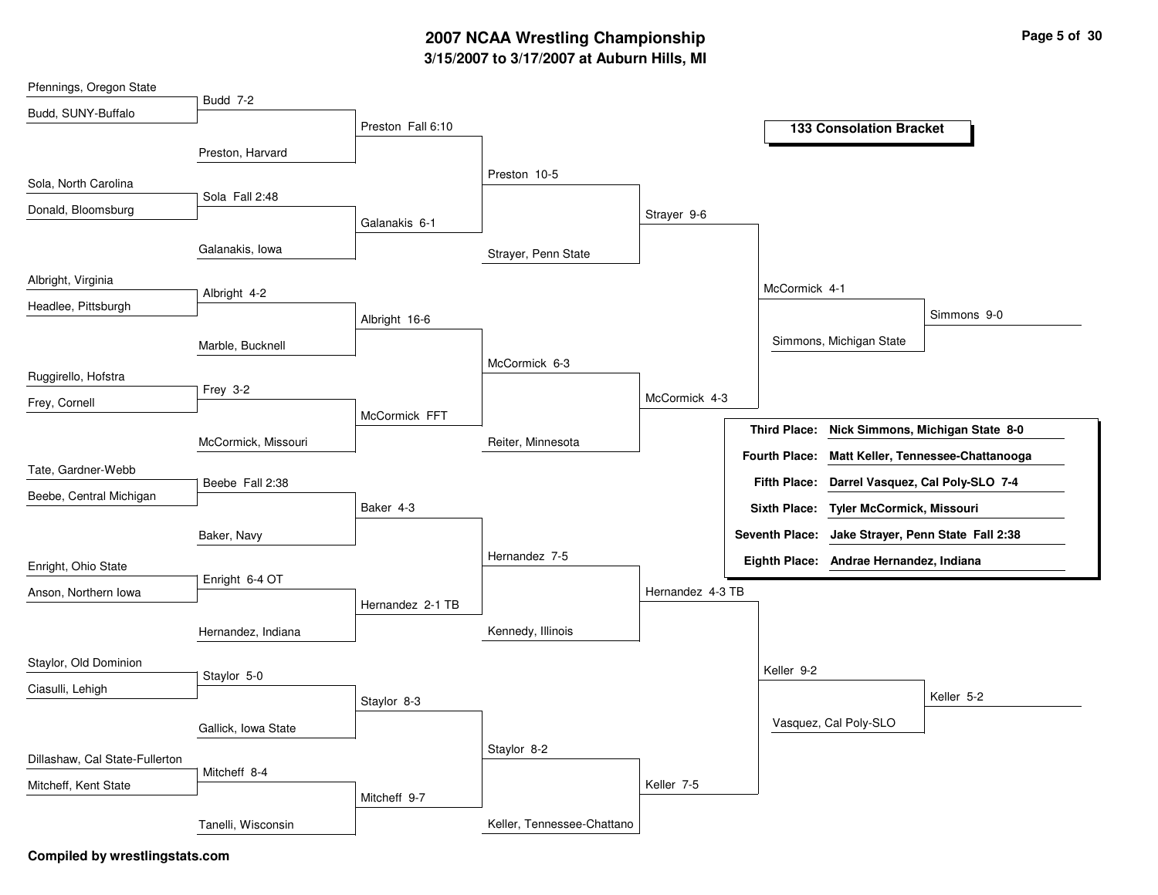# **3/15/2007 to 3/17/2007 at Auburn Hills, MI 2007 NCAA Wrestling Championship Page 5 of 30**

| Budd, SUNY-Buffalo<br>Preston Fall 6:10<br><b>133 Consolation Bracket</b><br>Preston, Harvard<br>Preston 10-5<br>Sola, North Carolina<br>Sola Fall 2:48<br>Donald, Bloomsburg<br>Strayer 9-6<br>Galanakis 6-1<br>Galanakis, Iowa<br>Strayer, Penn State<br>Albright, Virginia<br>McCormick 4-1<br>Albright 4-2<br>Headlee, Pittsburgh<br>Simmons 9-0<br>Albright 16-6<br>Simmons, Michigan State<br>Marble, Bucknell<br>McCormick 6-3<br>Frey 3-2<br>McCormick 4-3<br>Frey, Cornell<br>McCormick FFT<br>Nick Simmons, Michigan State 8-0<br><b>Third Place:</b><br>McCormick, Missouri<br>Reiter, Minnesota<br><b>Fourth Place:</b><br>Matt Keller, Tennessee-Chattanooga<br>Tate, Gardner-Webb<br>Fifth Place: Darrel Vasquez, Cal Poly-SLO 7-4<br>Beebe Fall 2:38<br>Beebe, Central Michigan<br>Baker 4-3<br>Sixth Place: Tyler McCormick, Missouri<br>Seventh Place: Jake Strayer, Penn State Fall 2:38<br>Baker, Navy<br>Hernandez 7-5<br>Eighth Place: Andrae Hernandez, Indiana<br>Enright 6-4 OT<br>Hernandez 4-3 TB<br>Anson, Northern Iowa<br>Hernandez 2-1 TB<br>Kennedy, Illinois<br>Hernandez, Indiana<br>Keller 9-2<br>Staylor 5-0<br>Ciasulli, Lehigh<br>Keller 5-2<br>Staylor 8-3<br>Vasquez, Cal Poly-SLO<br>Gallick, Iowa State<br>Staylor 8-2<br>Dillashaw, Cal State-Fullerton<br>Mitcheff 8-4<br>Keller 7-5<br>Mitcheff, Kent State<br>Mitcheff 9-7<br>Keller, Tennessee-Chattano<br>Tanelli, Wisconsin | Pfennings, Oregon State |                 |  |  |  |
|-----------------------------------------------------------------------------------------------------------------------------------------------------------------------------------------------------------------------------------------------------------------------------------------------------------------------------------------------------------------------------------------------------------------------------------------------------------------------------------------------------------------------------------------------------------------------------------------------------------------------------------------------------------------------------------------------------------------------------------------------------------------------------------------------------------------------------------------------------------------------------------------------------------------------------------------------------------------------------------------------------------------------------------------------------------------------------------------------------------------------------------------------------------------------------------------------------------------------------------------------------------------------------------------------------------------------------------------------------------------------------------------------------------------------------|-------------------------|-----------------|--|--|--|
|                                                                                                                                                                                                                                                                                                                                                                                                                                                                                                                                                                                                                                                                                                                                                                                                                                                                                                                                                                                                                                                                                                                                                                                                                                                                                                                                                                                                                             |                         | <b>Budd 7-2</b> |  |  |  |
|                                                                                                                                                                                                                                                                                                                                                                                                                                                                                                                                                                                                                                                                                                                                                                                                                                                                                                                                                                                                                                                                                                                                                                                                                                                                                                                                                                                                                             |                         |                 |  |  |  |
|                                                                                                                                                                                                                                                                                                                                                                                                                                                                                                                                                                                                                                                                                                                                                                                                                                                                                                                                                                                                                                                                                                                                                                                                                                                                                                                                                                                                                             |                         |                 |  |  |  |
|                                                                                                                                                                                                                                                                                                                                                                                                                                                                                                                                                                                                                                                                                                                                                                                                                                                                                                                                                                                                                                                                                                                                                                                                                                                                                                                                                                                                                             |                         |                 |  |  |  |
|                                                                                                                                                                                                                                                                                                                                                                                                                                                                                                                                                                                                                                                                                                                                                                                                                                                                                                                                                                                                                                                                                                                                                                                                                                                                                                                                                                                                                             |                         |                 |  |  |  |
|                                                                                                                                                                                                                                                                                                                                                                                                                                                                                                                                                                                                                                                                                                                                                                                                                                                                                                                                                                                                                                                                                                                                                                                                                                                                                                                                                                                                                             |                         |                 |  |  |  |
|                                                                                                                                                                                                                                                                                                                                                                                                                                                                                                                                                                                                                                                                                                                                                                                                                                                                                                                                                                                                                                                                                                                                                                                                                                                                                                                                                                                                                             |                         |                 |  |  |  |
|                                                                                                                                                                                                                                                                                                                                                                                                                                                                                                                                                                                                                                                                                                                                                                                                                                                                                                                                                                                                                                                                                                                                                                                                                                                                                                                                                                                                                             |                         |                 |  |  |  |
|                                                                                                                                                                                                                                                                                                                                                                                                                                                                                                                                                                                                                                                                                                                                                                                                                                                                                                                                                                                                                                                                                                                                                                                                                                                                                                                                                                                                                             |                         |                 |  |  |  |
|                                                                                                                                                                                                                                                                                                                                                                                                                                                                                                                                                                                                                                                                                                                                                                                                                                                                                                                                                                                                                                                                                                                                                                                                                                                                                                                                                                                                                             |                         |                 |  |  |  |
|                                                                                                                                                                                                                                                                                                                                                                                                                                                                                                                                                                                                                                                                                                                                                                                                                                                                                                                                                                                                                                                                                                                                                                                                                                                                                                                                                                                                                             |                         |                 |  |  |  |
|                                                                                                                                                                                                                                                                                                                                                                                                                                                                                                                                                                                                                                                                                                                                                                                                                                                                                                                                                                                                                                                                                                                                                                                                                                                                                                                                                                                                                             | Ruggirello, Hofstra     |                 |  |  |  |
|                                                                                                                                                                                                                                                                                                                                                                                                                                                                                                                                                                                                                                                                                                                                                                                                                                                                                                                                                                                                                                                                                                                                                                                                                                                                                                                                                                                                                             |                         |                 |  |  |  |
|                                                                                                                                                                                                                                                                                                                                                                                                                                                                                                                                                                                                                                                                                                                                                                                                                                                                                                                                                                                                                                                                                                                                                                                                                                                                                                                                                                                                                             |                         |                 |  |  |  |
|                                                                                                                                                                                                                                                                                                                                                                                                                                                                                                                                                                                                                                                                                                                                                                                                                                                                                                                                                                                                                                                                                                                                                                                                                                                                                                                                                                                                                             |                         |                 |  |  |  |
|                                                                                                                                                                                                                                                                                                                                                                                                                                                                                                                                                                                                                                                                                                                                                                                                                                                                                                                                                                                                                                                                                                                                                                                                                                                                                                                                                                                                                             |                         |                 |  |  |  |
|                                                                                                                                                                                                                                                                                                                                                                                                                                                                                                                                                                                                                                                                                                                                                                                                                                                                                                                                                                                                                                                                                                                                                                                                                                                                                                                                                                                                                             |                         |                 |  |  |  |
|                                                                                                                                                                                                                                                                                                                                                                                                                                                                                                                                                                                                                                                                                                                                                                                                                                                                                                                                                                                                                                                                                                                                                                                                                                                                                                                                                                                                                             |                         |                 |  |  |  |
|                                                                                                                                                                                                                                                                                                                                                                                                                                                                                                                                                                                                                                                                                                                                                                                                                                                                                                                                                                                                                                                                                                                                                                                                                                                                                                                                                                                                                             |                         |                 |  |  |  |
|                                                                                                                                                                                                                                                                                                                                                                                                                                                                                                                                                                                                                                                                                                                                                                                                                                                                                                                                                                                                                                                                                                                                                                                                                                                                                                                                                                                                                             | Enright, Ohio State     |                 |  |  |  |
|                                                                                                                                                                                                                                                                                                                                                                                                                                                                                                                                                                                                                                                                                                                                                                                                                                                                                                                                                                                                                                                                                                                                                                                                                                                                                                                                                                                                                             |                         |                 |  |  |  |
|                                                                                                                                                                                                                                                                                                                                                                                                                                                                                                                                                                                                                                                                                                                                                                                                                                                                                                                                                                                                                                                                                                                                                                                                                                                                                                                                                                                                                             |                         |                 |  |  |  |
|                                                                                                                                                                                                                                                                                                                                                                                                                                                                                                                                                                                                                                                                                                                                                                                                                                                                                                                                                                                                                                                                                                                                                                                                                                                                                                                                                                                                                             |                         |                 |  |  |  |
|                                                                                                                                                                                                                                                                                                                                                                                                                                                                                                                                                                                                                                                                                                                                                                                                                                                                                                                                                                                                                                                                                                                                                                                                                                                                                                                                                                                                                             | Staylor, Old Dominion   |                 |  |  |  |
|                                                                                                                                                                                                                                                                                                                                                                                                                                                                                                                                                                                                                                                                                                                                                                                                                                                                                                                                                                                                                                                                                                                                                                                                                                                                                                                                                                                                                             |                         |                 |  |  |  |
|                                                                                                                                                                                                                                                                                                                                                                                                                                                                                                                                                                                                                                                                                                                                                                                                                                                                                                                                                                                                                                                                                                                                                                                                                                                                                                                                                                                                                             |                         |                 |  |  |  |
|                                                                                                                                                                                                                                                                                                                                                                                                                                                                                                                                                                                                                                                                                                                                                                                                                                                                                                                                                                                                                                                                                                                                                                                                                                                                                                                                                                                                                             |                         |                 |  |  |  |
|                                                                                                                                                                                                                                                                                                                                                                                                                                                                                                                                                                                                                                                                                                                                                                                                                                                                                                                                                                                                                                                                                                                                                                                                                                                                                                                                                                                                                             |                         |                 |  |  |  |
|                                                                                                                                                                                                                                                                                                                                                                                                                                                                                                                                                                                                                                                                                                                                                                                                                                                                                                                                                                                                                                                                                                                                                                                                                                                                                                                                                                                                                             |                         |                 |  |  |  |
|                                                                                                                                                                                                                                                                                                                                                                                                                                                                                                                                                                                                                                                                                                                                                                                                                                                                                                                                                                                                                                                                                                                                                                                                                                                                                                                                                                                                                             |                         |                 |  |  |  |
|                                                                                                                                                                                                                                                                                                                                                                                                                                                                                                                                                                                                                                                                                                                                                                                                                                                                                                                                                                                                                                                                                                                                                                                                                                                                                                                                                                                                                             |                         |                 |  |  |  |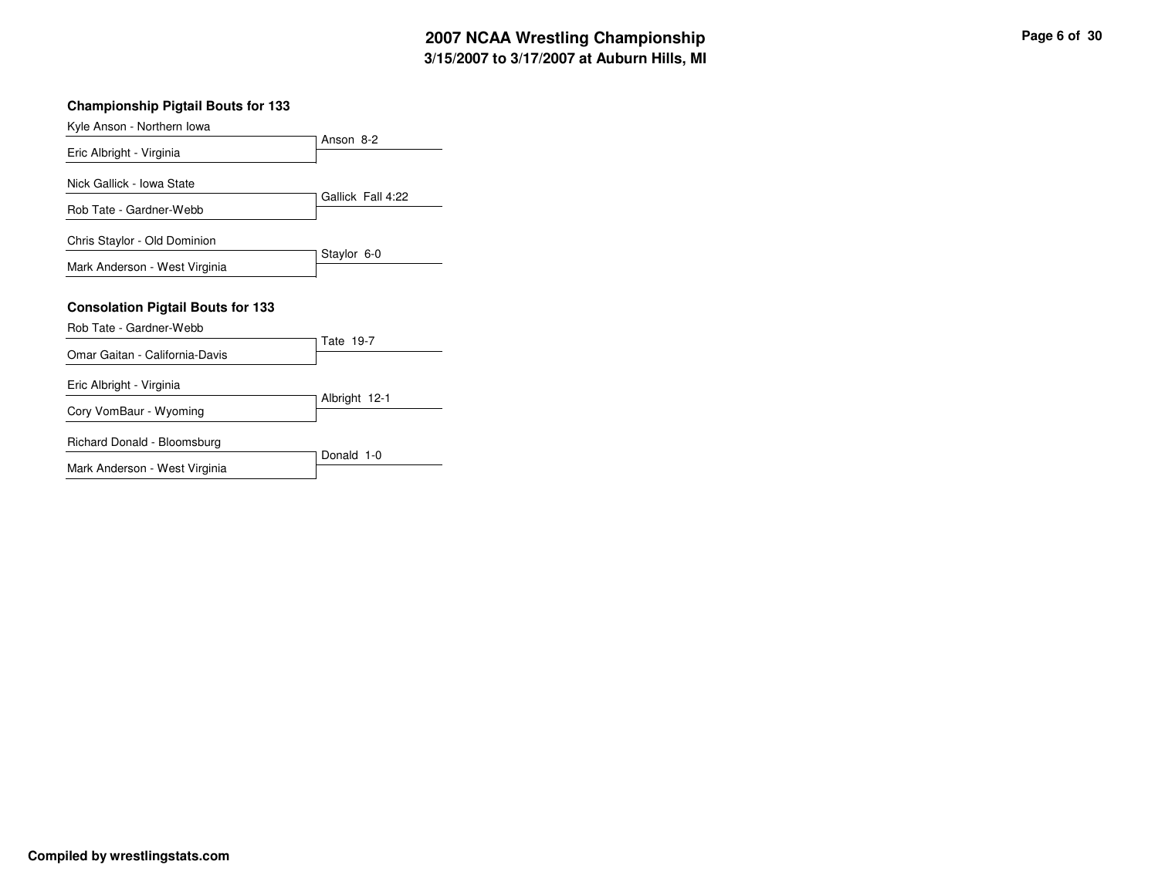### **Championship Pigtail Bouts for 133**

|                                          | Anson 8-2         |
|------------------------------------------|-------------------|
| Eric Albright - Virginia                 |                   |
| Nick Gallick - Iowa State                |                   |
| Rob Tate - Gardner-Webb                  | Gallick Fall 4:22 |
| Chris Staylor - Old Dominion             |                   |
| Mark Anderson - West Virginia            | Staylor 6-0       |
|                                          |                   |
|                                          |                   |
| <b>Consolation Pigtail Bouts for 133</b> |                   |
| Rob Tate - Gardner-Webb                  |                   |
| Omar Gaitan - California-Davis           | Tate 19-7         |
| Eric Albright - Virginia                 |                   |
| Cory VomBaur - Wyoming                   | Albright 12-1     |
| Richard Donald - Bloomsburg              | Donald 1-0        |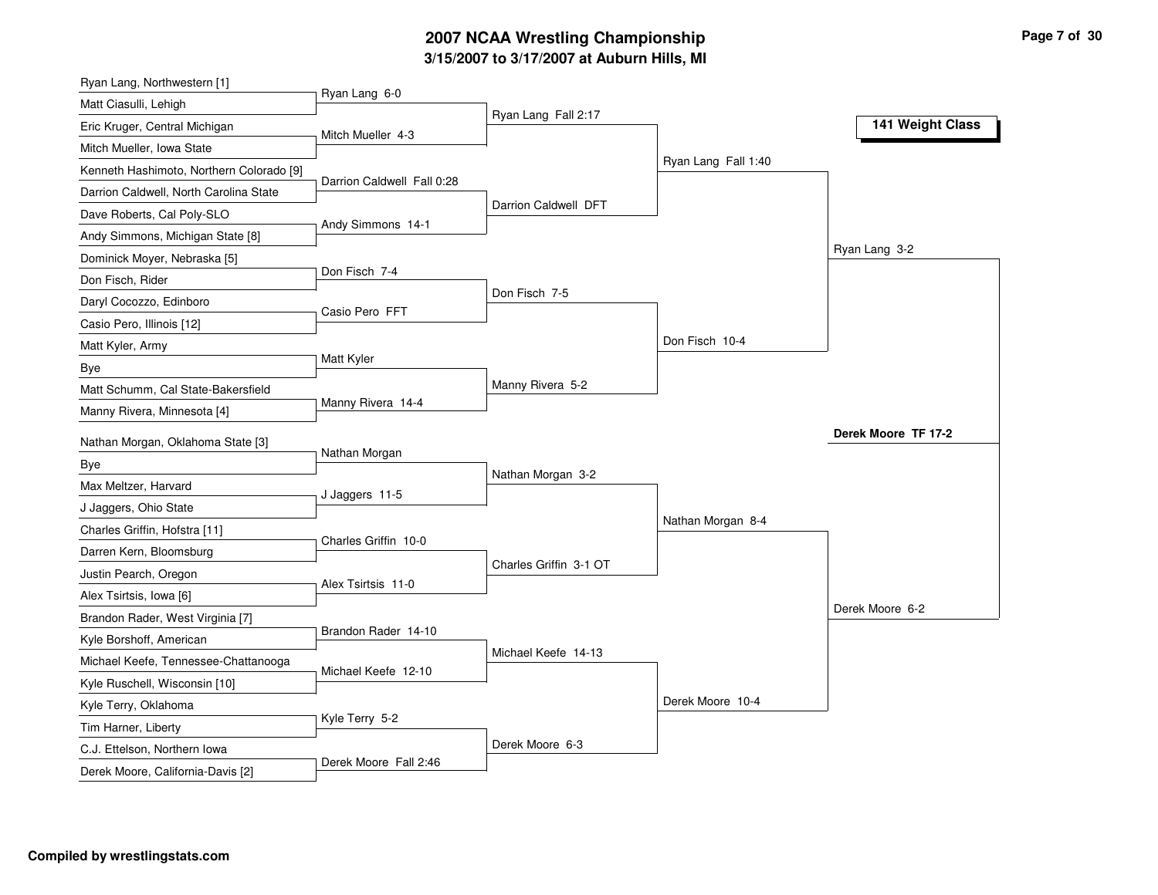### **3/15/2007 to 3/17/2007 at Auburn Hills, MI 2007 NCAA Wrestling Championship Page 7 of 30**

| Ryan Lang, Northwestern [1]              |                            |                        |                     |                     |
|------------------------------------------|----------------------------|------------------------|---------------------|---------------------|
| Matt Ciasulli, Lehigh                    | Ryan Lang 6-0              | Ryan Lang Fall 2:17    |                     |                     |
| Eric Kruger, Central Michigan            | Mitch Mueller 4-3          |                        |                     | 141 Weight Class    |
| Mitch Mueller, Iowa State                |                            |                        |                     |                     |
| Kenneth Hashimoto, Northern Colorado [9] |                            |                        | Ryan Lang Fall 1:40 |                     |
| Darrion Caldwell, North Carolina State   | Darrion Caldwell Fall 0:28 |                        |                     |                     |
| Dave Roberts, Cal Poly-SLO               | Andy Simmons 14-1          | Darrion Caldwell DFT   |                     |                     |
| Andy Simmons, Michigan State [8]         |                            |                        |                     |                     |
| Dominick Moyer, Nebraska [5]             |                            |                        |                     | Ryan Lang 3-2       |
| Don Fisch, Rider                         | Don Fisch 7-4              |                        |                     |                     |
| Daryl Cocozzo, Edinboro                  | Casio Pero FFT             | Don Fisch 7-5          |                     |                     |
| Casio Pero, Illinois [12]                |                            |                        |                     |                     |
| Matt Kyler, Army                         |                            |                        | Don Fisch 10-4      |                     |
| Bye                                      | Matt Kyler                 |                        |                     |                     |
| Matt Schumm, Cal State-Bakersfield       |                            | Manny Rivera 5-2       |                     |                     |
| Manny Rivera, Minnesota [4]              | Manny Rivera 14-4          |                        |                     |                     |
| Nathan Morgan, Oklahoma State [3]        |                            |                        |                     | Derek Moore TF 17-2 |
| Bye                                      | Nathan Morgan              |                        |                     |                     |
| Max Meltzer, Harvard                     |                            | Nathan Morgan 3-2      |                     |                     |
| J Jaggers, Ohio State                    | J Jaggers 11-5             |                        |                     |                     |
| Charles Griffin, Hofstra [11]            |                            |                        | Nathan Morgan 8-4   |                     |
| Darren Kern, Bloomsburg                  | Charles Griffin 10-0       |                        |                     |                     |
| Justin Pearch, Oregon                    |                            | Charles Griffin 3-1 OT |                     |                     |
| Alex Tsirtsis, Iowa [6]                  | Alex Tsirtsis 11-0         |                        |                     |                     |
| Brandon Rader, West Virginia [7]         |                            |                        |                     | Derek Moore 6-2     |
| Kyle Borshoff, American                  | Brandon Rader 14-10        |                        |                     |                     |
| Michael Keefe, Tennessee-Chattanooga     |                            | Michael Keefe 14-13    |                     |                     |
| Kyle Ruschell, Wisconsin [10]            | Michael Keefe 12-10        |                        |                     |                     |
| Kyle Terry, Oklahoma                     |                            |                        | Derek Moore 10-4    |                     |
| Tim Harner, Liberty                      | Kyle Terry 5-2             |                        |                     |                     |
| C.J. Ettelson, Northern Iowa             |                            | Derek Moore 6-3        |                     |                     |
| Derek Moore, California-Davis [2]        | Derek Moore Fall 2:46      |                        |                     |                     |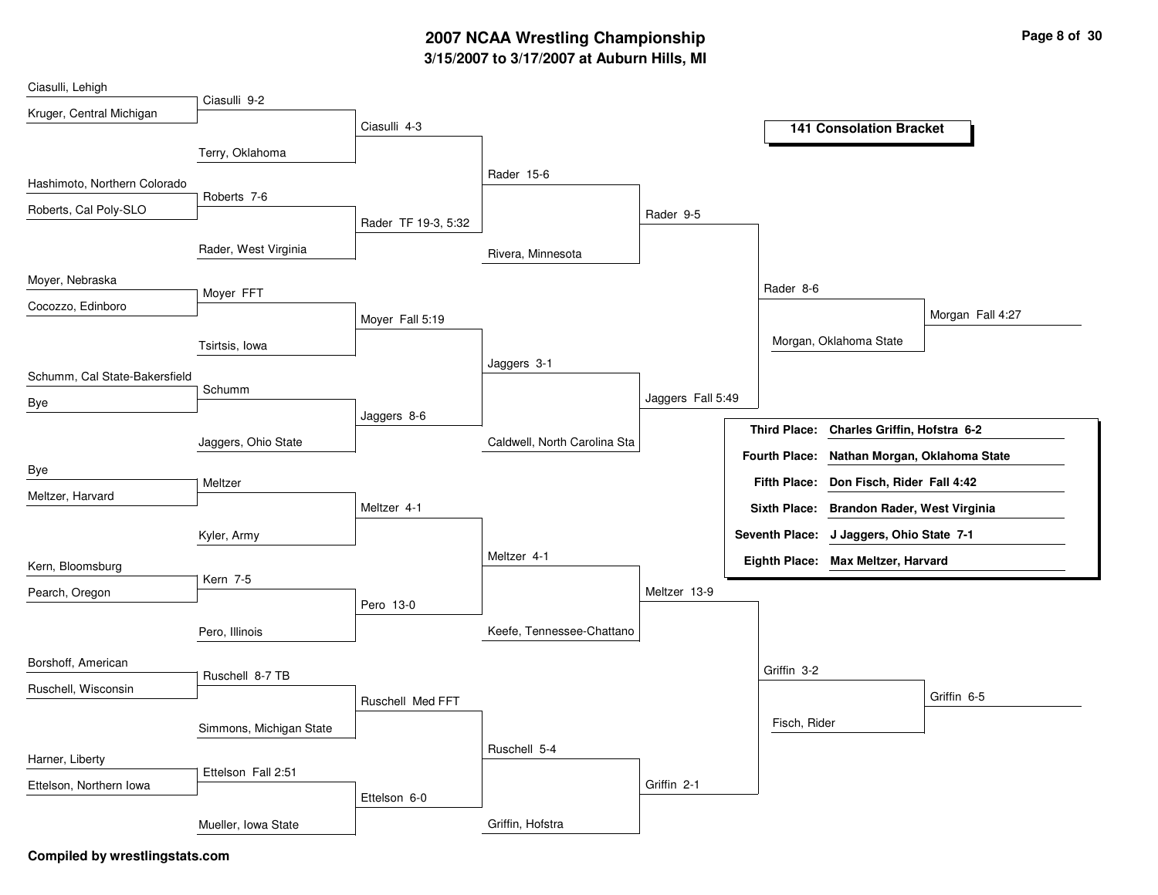# **3/15/2007 to 3/17/2007 at Auburn Hills, MI 2007 NCAA Wrestling Championship Page 8 of 30**

| Ciasulli, Lehigh              |                         |                     |                              |                   |                      |                                          |
|-------------------------------|-------------------------|---------------------|------------------------------|-------------------|----------------------|------------------------------------------|
| Kruger, Central Michigan      | Ciasulli 9-2            |                     |                              |                   |                      |                                          |
|                               |                         | Ciasulli 4-3        |                              |                   |                      | <b>141 Consolation Bracket</b>           |
|                               | Terry, Oklahoma         |                     |                              |                   |                      |                                          |
|                               |                         |                     | Rader 15-6                   |                   |                      |                                          |
| Hashimoto, Northern Colorado  | Roberts 7-6             |                     |                              |                   |                      |                                          |
| Roberts, Cal Poly-SLO         |                         |                     |                              | Rader 9-5         |                      |                                          |
|                               |                         | Rader TF 19-3, 5:32 |                              |                   |                      |                                          |
|                               | Rader, West Virginia    |                     | Rivera, Minnesota            |                   |                      |                                          |
| Moyer, Nebraska               |                         |                     |                              |                   |                      |                                          |
|                               | Moyer FFT               |                     |                              |                   | Rader 8-6            |                                          |
| Cocozzo, Edinboro             |                         | Moyer Fall 5:19     |                              |                   |                      | Morgan Fall 4:27                         |
|                               | Tsirtsis, Iowa          |                     |                              |                   |                      | Morgan, Oklahoma State                   |
|                               |                         |                     | Jaggers 3-1                  |                   |                      |                                          |
| Schumm, Cal State-Bakersfield | Schumm                  |                     |                              |                   |                      |                                          |
| Bye                           |                         |                     |                              | Jaggers Fall 5:49 |                      |                                          |
|                               |                         | Jaggers 8-6         |                              |                   | <b>Third Place:</b>  | Charles Griffin, Hofstra 6-2             |
|                               | Jaggers, Ohio State     |                     | Caldwell, North Carolina Sta |                   |                      |                                          |
| Bye                           |                         |                     |                              |                   | <b>Fourth Place:</b> | Nathan Morgan, Oklahoma State            |
| Meltzer, Harvard              | Meltzer                 |                     |                              |                   |                      | Fifth Place: Don Fisch, Rider Fall 4:42  |
|                               |                         | Meltzer 4-1         |                              |                   | <b>Sixth Place:</b>  | <b>Brandon Rader, West Virginia</b>      |
|                               | Kyler, Army             |                     |                              |                   |                      | Seventh Place: J Jaggers, Ohio State 7-1 |
|                               |                         |                     | Meltzer 4-1                  |                   |                      | Eighth Place: Max Meltzer, Harvard       |
| Kern, Bloomsburg              | Kern 7-5                |                     |                              |                   |                      |                                          |
| Pearch, Oregon                |                         |                     |                              | Meltzer 13-9      |                      |                                          |
|                               |                         | Pero 13-0           |                              |                   |                      |                                          |
|                               | Pero, Illinois          |                     | Keefe, Tennessee-Chattano    |                   |                      |                                          |
| Borshoff, American            |                         |                     |                              |                   |                      |                                          |
|                               | Ruschell 8-7 TB         |                     |                              |                   | Griffin 3-2          |                                          |
| Ruschell, Wisconsin           |                         | Ruschell Med FFT    |                              |                   |                      | Griffin 6-5                              |
|                               | Simmons, Michigan State |                     |                              |                   | Fisch, Rider         |                                          |
|                               |                         |                     | Ruschell 5-4                 |                   |                      |                                          |
| Harner, Liberty               |                         |                     |                              |                   |                      |                                          |
| Ettelson, Northern Iowa       | Ettelson Fall 2:51      |                     |                              | Griffin 2-1       |                      |                                          |
|                               |                         | Ettelson 6-0        |                              |                   |                      |                                          |
|                               | Mueller, Iowa State     |                     | Griffin, Hofstra             |                   |                      |                                          |
|                               |                         |                     |                              |                   |                      |                                          |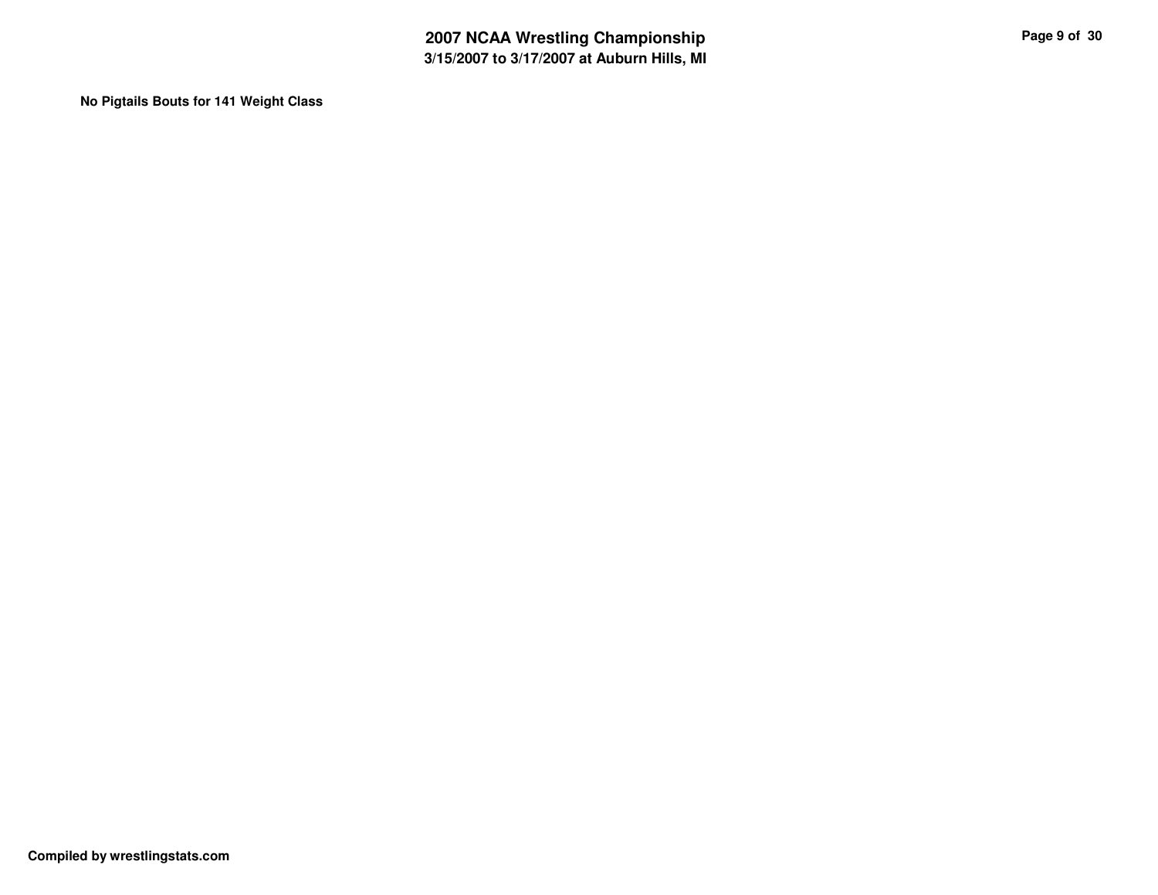**No Pigtails Bouts for 141 Weight Class**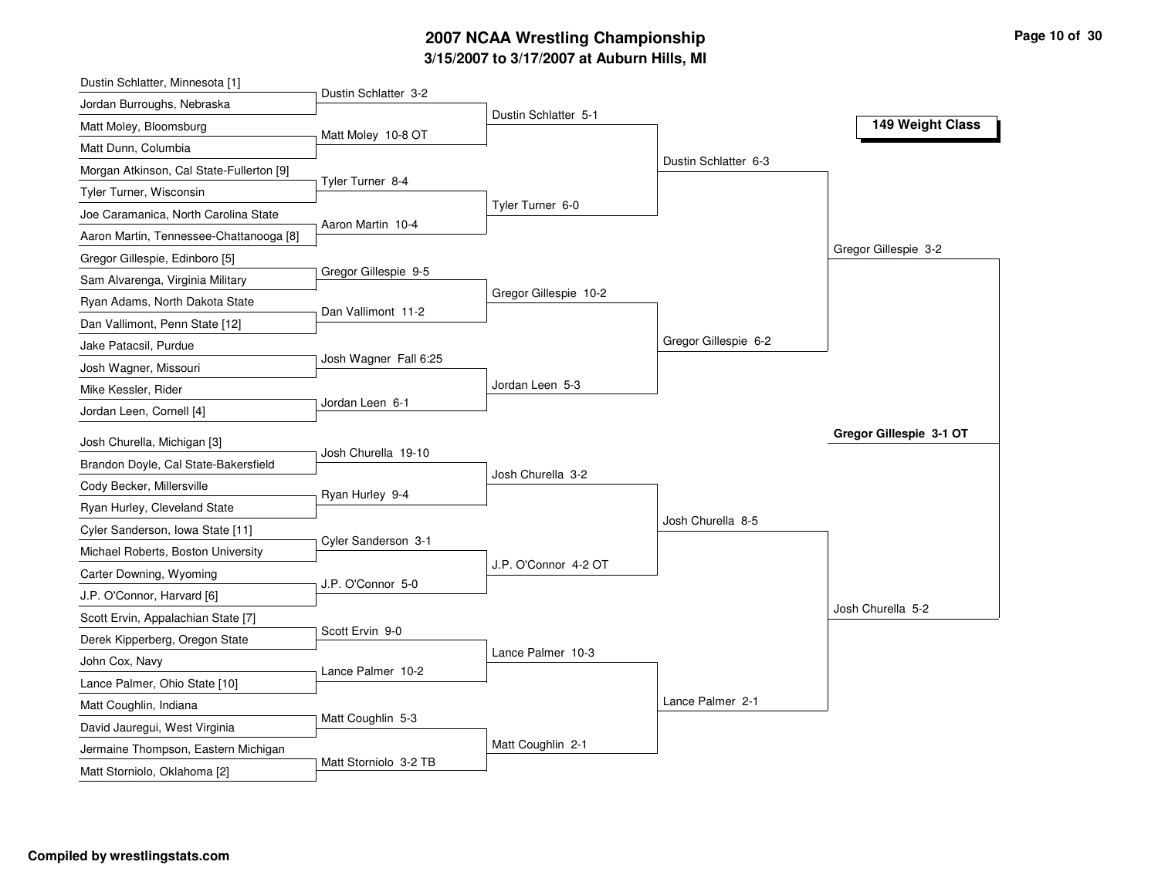# **3/15/2007 to 3/17/2007 at Auburn Hills, MI 2007 NCAA Wrestling Championship Page 10 of 30**

| Dustin Schlatter, Minnesota [1]                                     |                       |                       |                      |                         |
|---------------------------------------------------------------------|-----------------------|-----------------------|----------------------|-------------------------|
| Jordan Burroughs, Nebraska                                          | Dustin Schlatter 3-2  |                       |                      |                         |
| Matt Moley, Bloomsburg                                              | Matt Moley 10-8 OT    | Dustin Schlatter 5-1  |                      | 149 Weight Class        |
| Matt Dunn, Columbia                                                 |                       |                       |                      |                         |
| Morgan Atkinson, Cal State-Fullerton [9]                            |                       |                       | Dustin Schlatter 6-3 |                         |
| Tyler Turner, Wisconsin                                             | Tyler Turner 8-4      |                       |                      |                         |
| Joe Caramanica, North Carolina State                                |                       | Tyler Turner 6-0      |                      |                         |
| Aaron Martin, Tennessee-Chattanooga [8]                             | Aaron Martin 10-4     |                       |                      |                         |
| Gregor Gillespie, Edinboro [5]                                      |                       |                       |                      | Gregor Gillespie 3-2    |
| Sam Alvarenga, Virginia Military                                    | Gregor Gillespie 9-5  |                       |                      |                         |
| Ryan Adams, North Dakota State                                      |                       | Gregor Gillespie 10-2 |                      |                         |
| Dan Vallimont, Penn State [12]                                      | Dan Vallimont 11-2    |                       |                      |                         |
| Jake Patacsil, Purdue                                               |                       |                       | Gregor Gillespie 6-2 |                         |
| Josh Wagner, Missouri                                               | Josh Wagner Fall 6:25 |                       |                      |                         |
| Mike Kessler, Rider                                                 |                       | Jordan Leen 5-3       |                      |                         |
| Jordan Leen, Cornell [4]                                            | Jordan Leen 6-1       |                       |                      |                         |
|                                                                     |                       |                       |                      |                         |
|                                                                     |                       |                       |                      | Gregor Gillespie 3-1 OT |
| Josh Churella, Michigan [3]                                         | Josh Churella 19-10   |                       |                      |                         |
| Brandon Doyle, Cal State-Bakersfield                                |                       | Josh Churella 3-2     |                      |                         |
| Cody Becker, Millersville                                           | Ryan Hurley 9-4       |                       |                      |                         |
| Ryan Hurley, Cleveland State                                        |                       |                       | Josh Churella 8-5    |                         |
| Cyler Sanderson, Iowa State [11]                                    | Cyler Sanderson 3-1   |                       |                      |                         |
| Michael Roberts, Boston University                                  |                       | J.P. O'Connor 4-2 OT  |                      |                         |
| Carter Downing, Wyoming                                             | J.P. O'Connor 5-0     |                       |                      |                         |
| J.P. O'Connor, Harvard [6]                                          |                       |                       |                      | Josh Churella 5-2       |
| Scott Ervin, Appalachian State [7]                                  | Scott Ervin 9-0       |                       |                      |                         |
| Derek Kipperberg, Oregon State                                      |                       | Lance Palmer 10-3     |                      |                         |
| John Cox, Navy                                                      | Lance Palmer 10-2     |                       |                      |                         |
| Lance Palmer, Ohio State [10]                                       |                       |                       |                      |                         |
| Matt Coughlin, Indiana                                              | Matt Coughlin 5-3     |                       | Lance Palmer 2-1     |                         |
| David Jauregui, West Virginia                                       |                       |                       |                      |                         |
| Jermaine Thompson, Eastern Michigan<br>Matt Storniolo, Oklahoma [2] | Matt Storniolo 3-2 TB | Matt Coughlin 2-1     |                      |                         |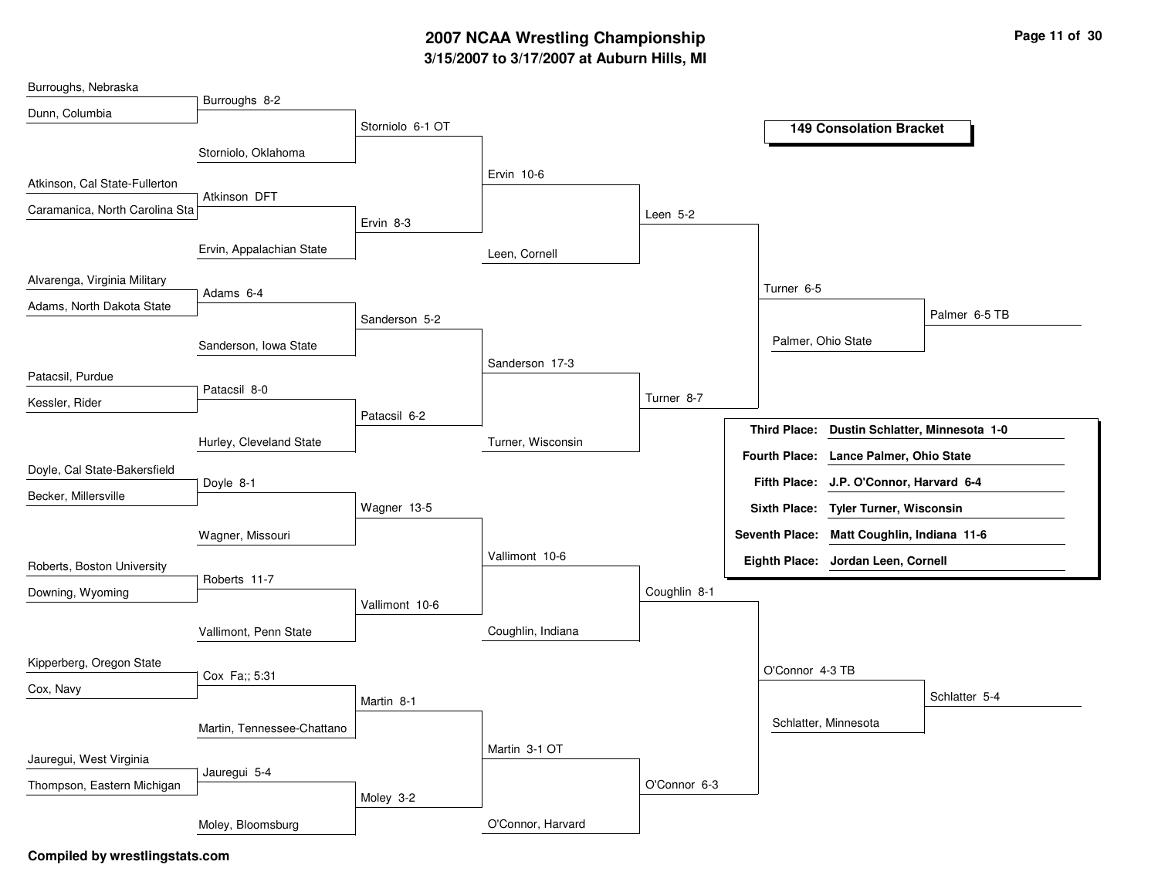# **3/15/2007 to 3/17/2007 at Auburn Hills, MI 2007 NCAA Wrestling Championship Page 11 of 30**

| Burroughs, Nebraska            |                            |                  |                   |              |                      |                                            |               |
|--------------------------------|----------------------------|------------------|-------------------|--------------|----------------------|--------------------------------------------|---------------|
| Dunn, Columbia                 | Burroughs 8-2              |                  |                   |              |                      |                                            |               |
|                                |                            | Storniolo 6-1 OT |                   |              |                      | <b>149 Consolation Bracket</b>             |               |
|                                | Storniolo, Oklahoma        |                  |                   |              |                      |                                            |               |
|                                |                            |                  | Ervin 10-6        |              |                      |                                            |               |
| Atkinson, Cal State-Fullerton  | Atkinson DFT               |                  |                   |              |                      |                                            |               |
| Caramanica, North Carolina Sta |                            |                  |                   | Leen $5-2$   |                      |                                            |               |
|                                |                            | Ervin 8-3        |                   |              |                      |                                            |               |
|                                | Ervin, Appalachian State   |                  | Leen, Cornell     |              |                      |                                            |               |
| Alvarenga, Virginia Military   |                            |                  |                   |              | Turner 6-5           |                                            |               |
| Adams, North Dakota State      | Adams 6-4                  |                  |                   |              |                      |                                            |               |
|                                |                            | Sanderson 5-2    |                   |              |                      |                                            | Palmer 6-5 TB |
|                                | Sanderson, Iowa State      |                  |                   |              | Palmer, Ohio State   |                                            |               |
|                                |                            |                  | Sanderson 17-3    |              |                      |                                            |               |
| Patacsil, Purdue               | Patacsil 8-0               |                  |                   |              |                      |                                            |               |
| Kessler, Rider                 |                            |                  |                   | Turner 8-7   |                      |                                            |               |
|                                |                            | Patacsil 6-2     |                   |              | <b>Third Place:</b>  | Dustin Schlatter, Minnesota 1-0            |               |
|                                | Hurley, Cleveland State    |                  | Turner, Wisconsin |              | <b>Fourth Place:</b> | Lance Palmer, Ohio State                   |               |
| Doyle, Cal State-Bakersfield   |                            |                  |                   |              |                      |                                            |               |
| Becker, Millersville           | Doyle 8-1                  |                  |                   |              |                      | Fifth Place: J.P. O'Connor, Harvard 6-4    |               |
|                                |                            | Wagner 13-5      |                   |              |                      | Sixth Place: Tyler Turner, Wisconsin       |               |
|                                | Wagner, Missouri           |                  |                   |              |                      | Seventh Place: Matt Coughlin, Indiana 11-6 |               |
| Roberts, Boston University     |                            |                  | Vallimont 10-6    |              |                      | Eighth Place: Jordan Leen, Cornell         |               |
|                                | Roberts 11-7               |                  |                   |              |                      |                                            |               |
| Downing, Wyoming               |                            | Vallimont 10-6   |                   | Coughlin 8-1 |                      |                                            |               |
|                                | Vallimont, Penn State      |                  | Coughlin, Indiana |              |                      |                                            |               |
|                                |                            |                  |                   |              |                      |                                            |               |
| Kipperberg, Oregon State       | Cox Fa;; 5:31              |                  |                   |              | O'Connor 4-3 TB      |                                            |               |
| Cox, Navy                      |                            | Martin 8-1       |                   |              |                      |                                            | Schlatter 5-4 |
|                                |                            |                  |                   |              |                      |                                            |               |
|                                | Martin, Tennessee-Chattano |                  |                   |              |                      | Schlatter, Minnesota                       |               |
| Jauregui, West Virginia        |                            |                  | Martin 3-1 OT     |              |                      |                                            |               |
|                                | Jauregui 5-4               |                  |                   |              |                      |                                            |               |
| Thompson, Eastern Michigan     |                            | Moley 3-2        |                   | O'Connor 6-3 |                      |                                            |               |
|                                |                            |                  |                   |              |                      |                                            |               |
|                                | Moley, Bloomsburg          |                  | O'Connor, Harvard |              |                      |                                            |               |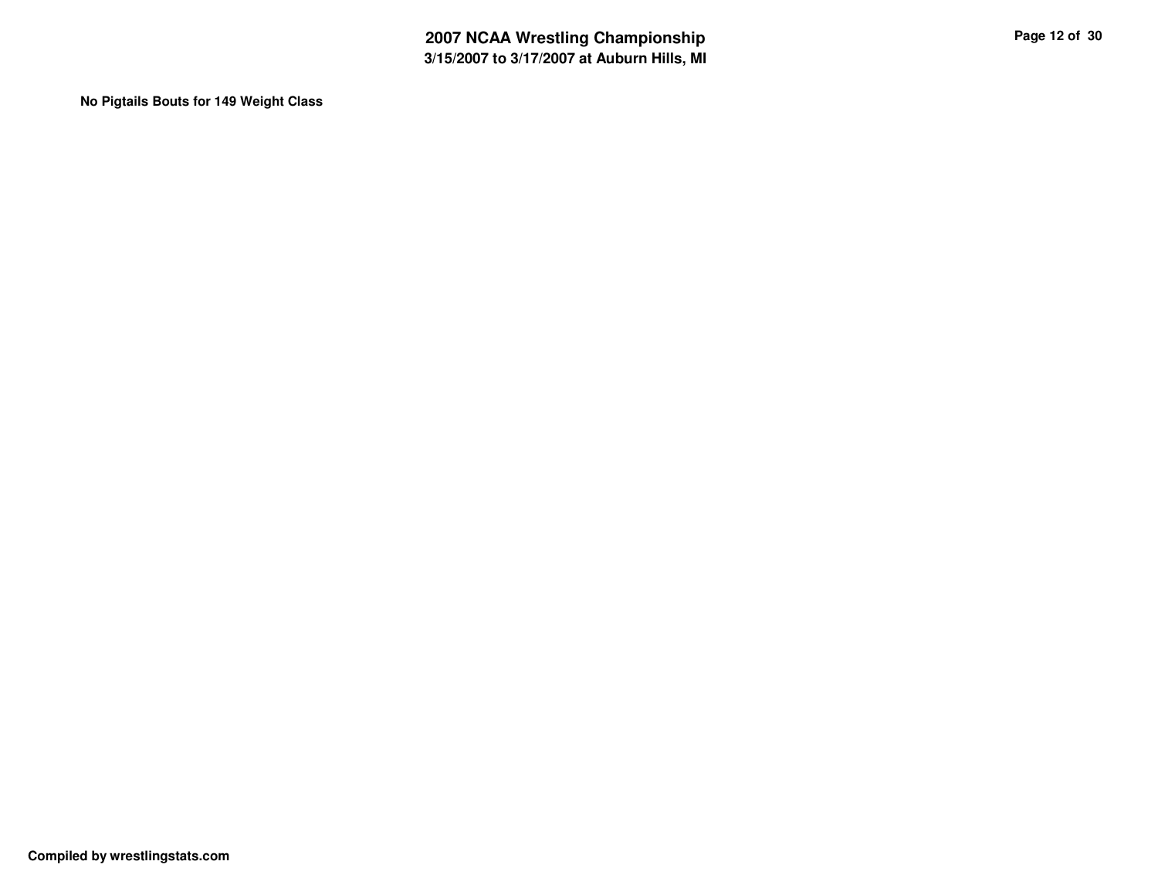**No Pigtails Bouts for 149 Weight Class**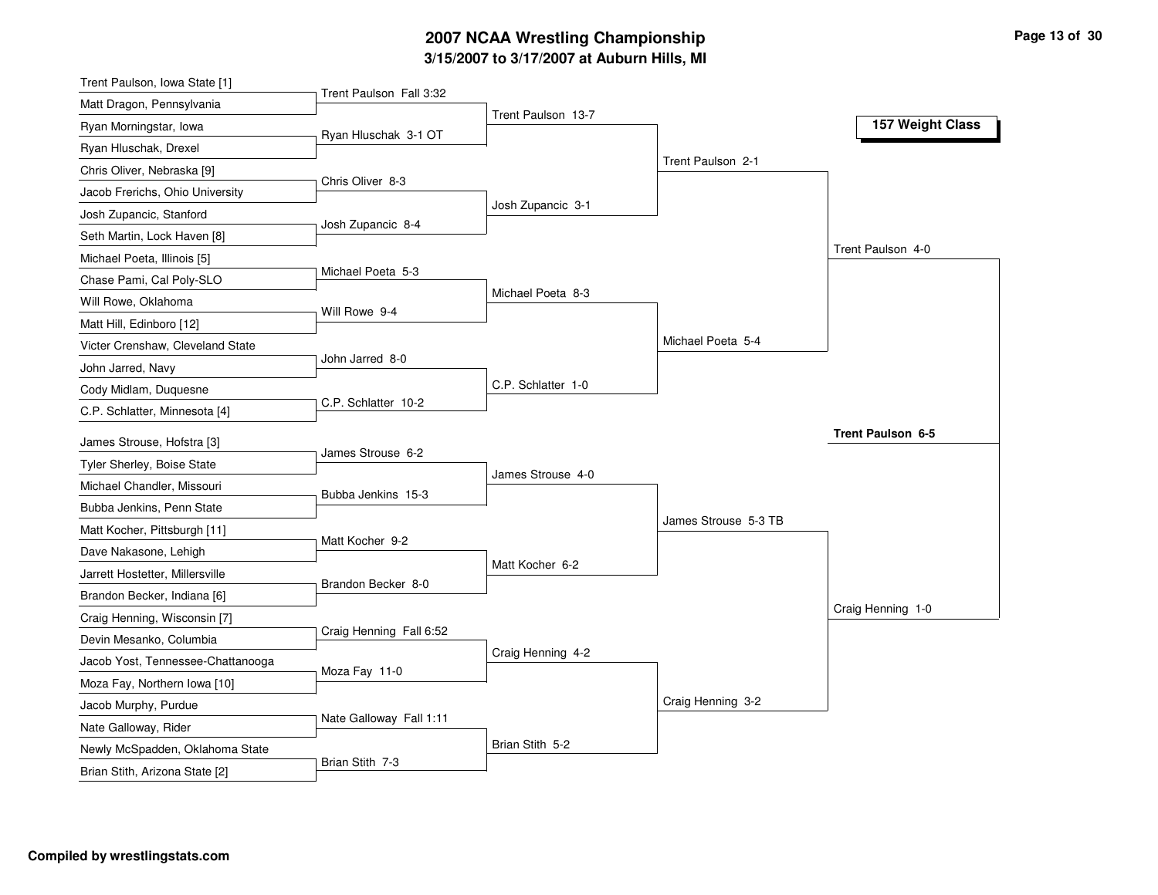### **3/15/2007 to 3/17/2007 at Auburn Hills, MI 2007 NCAA Wrestling Championship Page 13 of 30**

| Trent Paulson Fall 3:32<br>Matt Dragon, Pennsylvania<br>Trent Paulson 13-7<br>157 Weight Class<br>Ryan Morningstar, Iowa<br>Ryan Hluschak 3-1 OT<br>Ryan Hluschak, Drexel<br>Trent Paulson 2-1<br>Chris Oliver, Nebraska [9]<br>Chris Oliver 8-3<br>Jacob Frerichs, Ohio University<br>Josh Zupancic 3-1<br>Josh Zupancic, Stanford<br>Josh Zupancic 8-4<br>Seth Martin, Lock Haven [8]<br>Trent Paulson 4-0<br>Michael Poeta, Illinois [5]<br>Michael Poeta 5-3<br>Chase Pami, Cal Poly-SLO<br>Michael Poeta 8-3<br>Will Rowe, Oklahoma<br>Will Rowe 9-4<br>Matt Hill, Edinboro [12]<br>Michael Poeta 5-4<br>Victer Crenshaw, Cleveland State<br>John Jarred 8-0<br>John Jarred, Navy<br>C.P. Schlatter 1-0<br>Cody Midlam, Duquesne<br>C.P. Schlatter 10-2<br>C.P. Schlatter, Minnesota [4]<br>Trent Paulson 6-5<br>James Strouse, Hofstra [3]<br>James Strouse 6-2<br>Tyler Sherley, Boise State<br>James Strouse 4-0<br>Michael Chandler, Missouri<br>Bubba Jenkins 15-3<br>Bubba Jenkins, Penn State<br>James Strouse 5-3 TB<br>Matt Kocher, Pittsburgh [11]<br>Matt Kocher 9-2<br>Dave Nakasone, Lehigh<br>Matt Kocher 6-2<br>Jarrett Hostetter, Millersville<br>Brandon Becker 8-0<br>Brandon Becker, Indiana [6]<br>Craig Henning 1-0<br>Craig Henning, Wisconsin [7]<br>Craig Henning Fall 6:52<br>Devin Mesanko, Columbia<br>Craig Henning 4-2<br>Jacob Yost, Tennessee-Chattanooga<br>Moza Fay 11-0<br>Moza Fay, Northern Iowa [10]<br>Craig Henning 3-2<br>Jacob Murphy, Purdue<br>Nate Galloway Fall 1:11<br>Nate Galloway, Rider<br>Brian Stith 5-2<br>Newly McSpadden, Oklahoma State<br>Brian Stith 7-3 | Trent Paulson, Iowa State [1]  |  |  |
|-------------------------------------------------------------------------------------------------------------------------------------------------------------------------------------------------------------------------------------------------------------------------------------------------------------------------------------------------------------------------------------------------------------------------------------------------------------------------------------------------------------------------------------------------------------------------------------------------------------------------------------------------------------------------------------------------------------------------------------------------------------------------------------------------------------------------------------------------------------------------------------------------------------------------------------------------------------------------------------------------------------------------------------------------------------------------------------------------------------------------------------------------------------------------------------------------------------------------------------------------------------------------------------------------------------------------------------------------------------------------------------------------------------------------------------------------------------------------------------------------------------------------------------------------------------------------------------------------------------------------|--------------------------------|--|--|
|                                                                                                                                                                                                                                                                                                                                                                                                                                                                                                                                                                                                                                                                                                                                                                                                                                                                                                                                                                                                                                                                                                                                                                                                                                                                                                                                                                                                                                                                                                                                                                                                                         |                                |  |  |
|                                                                                                                                                                                                                                                                                                                                                                                                                                                                                                                                                                                                                                                                                                                                                                                                                                                                                                                                                                                                                                                                                                                                                                                                                                                                                                                                                                                                                                                                                                                                                                                                                         |                                |  |  |
|                                                                                                                                                                                                                                                                                                                                                                                                                                                                                                                                                                                                                                                                                                                                                                                                                                                                                                                                                                                                                                                                                                                                                                                                                                                                                                                                                                                                                                                                                                                                                                                                                         |                                |  |  |
|                                                                                                                                                                                                                                                                                                                                                                                                                                                                                                                                                                                                                                                                                                                                                                                                                                                                                                                                                                                                                                                                                                                                                                                                                                                                                                                                                                                                                                                                                                                                                                                                                         |                                |  |  |
|                                                                                                                                                                                                                                                                                                                                                                                                                                                                                                                                                                                                                                                                                                                                                                                                                                                                                                                                                                                                                                                                                                                                                                                                                                                                                                                                                                                                                                                                                                                                                                                                                         |                                |  |  |
|                                                                                                                                                                                                                                                                                                                                                                                                                                                                                                                                                                                                                                                                                                                                                                                                                                                                                                                                                                                                                                                                                                                                                                                                                                                                                                                                                                                                                                                                                                                                                                                                                         |                                |  |  |
|                                                                                                                                                                                                                                                                                                                                                                                                                                                                                                                                                                                                                                                                                                                                                                                                                                                                                                                                                                                                                                                                                                                                                                                                                                                                                                                                                                                                                                                                                                                                                                                                                         |                                |  |  |
|                                                                                                                                                                                                                                                                                                                                                                                                                                                                                                                                                                                                                                                                                                                                                                                                                                                                                                                                                                                                                                                                                                                                                                                                                                                                                                                                                                                                                                                                                                                                                                                                                         |                                |  |  |
|                                                                                                                                                                                                                                                                                                                                                                                                                                                                                                                                                                                                                                                                                                                                                                                                                                                                                                                                                                                                                                                                                                                                                                                                                                                                                                                                                                                                                                                                                                                                                                                                                         |                                |  |  |
|                                                                                                                                                                                                                                                                                                                                                                                                                                                                                                                                                                                                                                                                                                                                                                                                                                                                                                                                                                                                                                                                                                                                                                                                                                                                                                                                                                                                                                                                                                                                                                                                                         |                                |  |  |
|                                                                                                                                                                                                                                                                                                                                                                                                                                                                                                                                                                                                                                                                                                                                                                                                                                                                                                                                                                                                                                                                                                                                                                                                                                                                                                                                                                                                                                                                                                                                                                                                                         |                                |  |  |
|                                                                                                                                                                                                                                                                                                                                                                                                                                                                                                                                                                                                                                                                                                                                                                                                                                                                                                                                                                                                                                                                                                                                                                                                                                                                                                                                                                                                                                                                                                                                                                                                                         |                                |  |  |
|                                                                                                                                                                                                                                                                                                                                                                                                                                                                                                                                                                                                                                                                                                                                                                                                                                                                                                                                                                                                                                                                                                                                                                                                                                                                                                                                                                                                                                                                                                                                                                                                                         |                                |  |  |
|                                                                                                                                                                                                                                                                                                                                                                                                                                                                                                                                                                                                                                                                                                                                                                                                                                                                                                                                                                                                                                                                                                                                                                                                                                                                                                                                                                                                                                                                                                                                                                                                                         |                                |  |  |
|                                                                                                                                                                                                                                                                                                                                                                                                                                                                                                                                                                                                                                                                                                                                                                                                                                                                                                                                                                                                                                                                                                                                                                                                                                                                                                                                                                                                                                                                                                                                                                                                                         |                                |  |  |
|                                                                                                                                                                                                                                                                                                                                                                                                                                                                                                                                                                                                                                                                                                                                                                                                                                                                                                                                                                                                                                                                                                                                                                                                                                                                                                                                                                                                                                                                                                                                                                                                                         |                                |  |  |
|                                                                                                                                                                                                                                                                                                                                                                                                                                                                                                                                                                                                                                                                                                                                                                                                                                                                                                                                                                                                                                                                                                                                                                                                                                                                                                                                                                                                                                                                                                                                                                                                                         |                                |  |  |
|                                                                                                                                                                                                                                                                                                                                                                                                                                                                                                                                                                                                                                                                                                                                                                                                                                                                                                                                                                                                                                                                                                                                                                                                                                                                                                                                                                                                                                                                                                                                                                                                                         |                                |  |  |
|                                                                                                                                                                                                                                                                                                                                                                                                                                                                                                                                                                                                                                                                                                                                                                                                                                                                                                                                                                                                                                                                                                                                                                                                                                                                                                                                                                                                                                                                                                                                                                                                                         |                                |  |  |
|                                                                                                                                                                                                                                                                                                                                                                                                                                                                                                                                                                                                                                                                                                                                                                                                                                                                                                                                                                                                                                                                                                                                                                                                                                                                                                                                                                                                                                                                                                                                                                                                                         |                                |  |  |
|                                                                                                                                                                                                                                                                                                                                                                                                                                                                                                                                                                                                                                                                                                                                                                                                                                                                                                                                                                                                                                                                                                                                                                                                                                                                                                                                                                                                                                                                                                                                                                                                                         |                                |  |  |
|                                                                                                                                                                                                                                                                                                                                                                                                                                                                                                                                                                                                                                                                                                                                                                                                                                                                                                                                                                                                                                                                                                                                                                                                                                                                                                                                                                                                                                                                                                                                                                                                                         |                                |  |  |
|                                                                                                                                                                                                                                                                                                                                                                                                                                                                                                                                                                                                                                                                                                                                                                                                                                                                                                                                                                                                                                                                                                                                                                                                                                                                                                                                                                                                                                                                                                                                                                                                                         |                                |  |  |
|                                                                                                                                                                                                                                                                                                                                                                                                                                                                                                                                                                                                                                                                                                                                                                                                                                                                                                                                                                                                                                                                                                                                                                                                                                                                                                                                                                                                                                                                                                                                                                                                                         |                                |  |  |
|                                                                                                                                                                                                                                                                                                                                                                                                                                                                                                                                                                                                                                                                                                                                                                                                                                                                                                                                                                                                                                                                                                                                                                                                                                                                                                                                                                                                                                                                                                                                                                                                                         |                                |  |  |
|                                                                                                                                                                                                                                                                                                                                                                                                                                                                                                                                                                                                                                                                                                                                                                                                                                                                                                                                                                                                                                                                                                                                                                                                                                                                                                                                                                                                                                                                                                                                                                                                                         |                                |  |  |
|                                                                                                                                                                                                                                                                                                                                                                                                                                                                                                                                                                                                                                                                                                                                                                                                                                                                                                                                                                                                                                                                                                                                                                                                                                                                                                                                                                                                                                                                                                                                                                                                                         |                                |  |  |
|                                                                                                                                                                                                                                                                                                                                                                                                                                                                                                                                                                                                                                                                                                                                                                                                                                                                                                                                                                                                                                                                                                                                                                                                                                                                                                                                                                                                                                                                                                                                                                                                                         |                                |  |  |
|                                                                                                                                                                                                                                                                                                                                                                                                                                                                                                                                                                                                                                                                                                                                                                                                                                                                                                                                                                                                                                                                                                                                                                                                                                                                                                                                                                                                                                                                                                                                                                                                                         |                                |  |  |
|                                                                                                                                                                                                                                                                                                                                                                                                                                                                                                                                                                                                                                                                                                                                                                                                                                                                                                                                                                                                                                                                                                                                                                                                                                                                                                                                                                                                                                                                                                                                                                                                                         |                                |  |  |
|                                                                                                                                                                                                                                                                                                                                                                                                                                                                                                                                                                                                                                                                                                                                                                                                                                                                                                                                                                                                                                                                                                                                                                                                                                                                                                                                                                                                                                                                                                                                                                                                                         | Brian Stith, Arizona State [2] |  |  |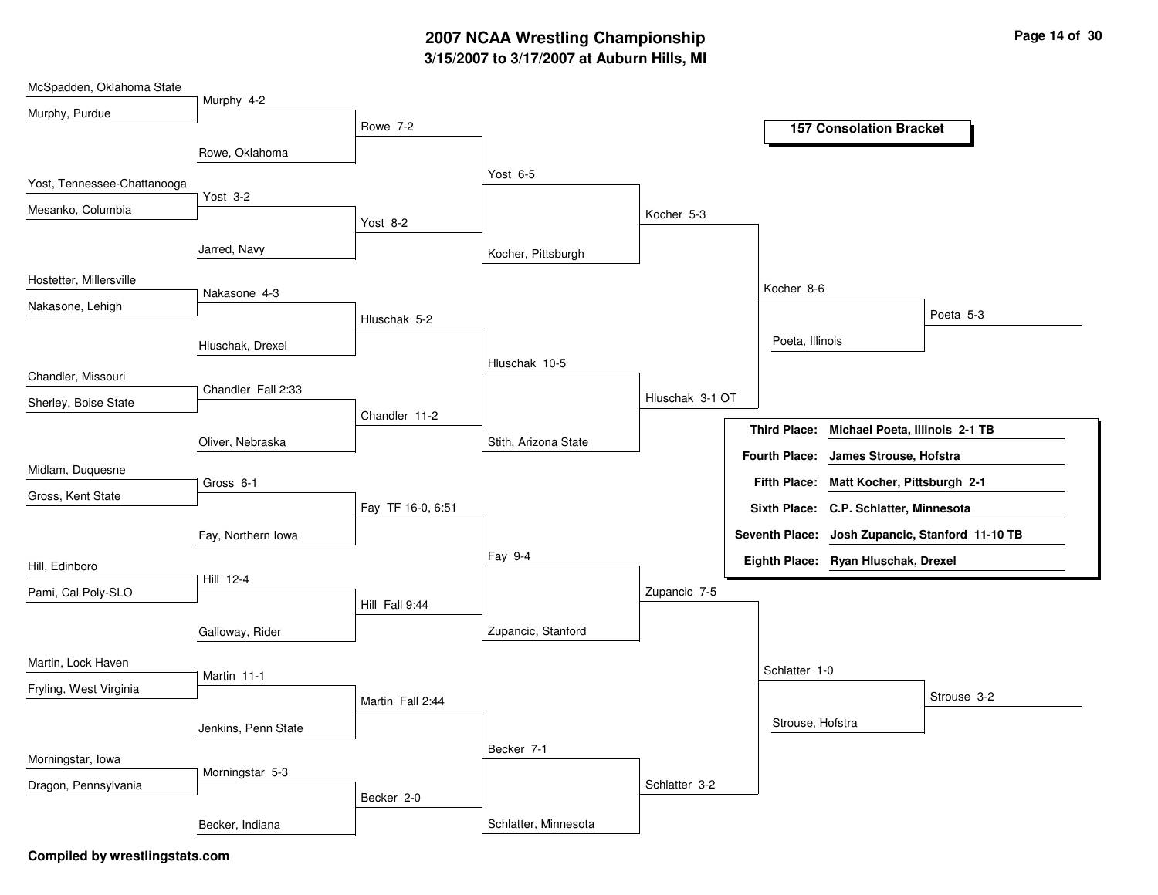# **3/15/2007 to 3/17/2007 at Auburn Hills, MI 2007 NCAA Wrestling Championship Page 14 of 30**

| McSpadden, Oklahoma State   |                     |                   |                      |                 |                      |                                        |                                                 |
|-----------------------------|---------------------|-------------------|----------------------|-----------------|----------------------|----------------------------------------|-------------------------------------------------|
| Murphy, Purdue              | Murphy 4-2          |                   |                      |                 |                      |                                        |                                                 |
|                             |                     | Rowe 7-2          |                      |                 |                      | <b>157 Consolation Bracket</b>         |                                                 |
|                             | Rowe, Oklahoma      |                   |                      |                 |                      |                                        |                                                 |
| Yost, Tennessee-Chattanooga |                     |                   | Yost 6-5             |                 |                      |                                        |                                                 |
| Mesanko, Columbia           | Yost 3-2            |                   |                      | Kocher 5-3      |                      |                                        |                                                 |
|                             |                     | Yost 8-2          |                      |                 |                      |                                        |                                                 |
|                             | Jarred, Navy        |                   | Kocher, Pittsburgh   |                 |                      |                                        |                                                 |
| Hostetter, Millersville     |                     |                   |                      |                 |                      |                                        |                                                 |
| Nakasone, Lehigh            | Nakasone 4-3        |                   |                      |                 | Kocher 8-6           |                                        |                                                 |
|                             |                     | Hluschak 5-2      |                      |                 |                      |                                        | Poeta 5-3                                       |
|                             | Hluschak, Drexel    |                   |                      |                 | Poeta, Illinois      |                                        |                                                 |
| Chandler, Missouri          |                     |                   | Hluschak 10-5        |                 |                      |                                        |                                                 |
| Sherley, Boise State        | Chandler Fall 2:33  |                   |                      | Hluschak 3-1 OT |                      |                                        |                                                 |
|                             |                     | Chandler 11-2     |                      |                 |                      |                                        |                                                 |
|                             | Oliver, Nebraska    |                   | Stith, Arizona State |                 | <b>Third Place:</b>  | Michael Poeta, Illinois 2-1 TB         |                                                 |
| Midlam, Duquesne            |                     |                   |                      |                 | <b>Fourth Place:</b> | James Strouse, Hofstra                 |                                                 |
| Gross, Kent State           | Gross 6-1           |                   |                      |                 | <b>Fifth Place:</b>  | Matt Kocher, Pittsburgh 2-1            |                                                 |
|                             |                     | Fay TF 16-0, 6:51 |                      |                 |                      | Sixth Place: C.P. Schlatter, Minnesota |                                                 |
|                             | Fay, Northern Iowa  |                   |                      |                 |                      |                                        | Seventh Place: Josh Zupancic, Stanford 11-10 TB |
| Hill, Edinboro              |                     |                   | Fay 9-4              |                 |                      | Eighth Place: Ryan Hluschak, Drexel    |                                                 |
| Pami, Cal Poly-SLO          | Hill 12-4           |                   |                      | Zupancic 7-5    |                      |                                        |                                                 |
|                             |                     | Hill Fall 9:44    |                      |                 |                      |                                        |                                                 |
|                             | Galloway, Rider     |                   | Zupancic, Stanford   |                 |                      |                                        |                                                 |
| Martin, Lock Haven          |                     |                   |                      |                 |                      |                                        |                                                 |
|                             | Martin 11-1         |                   |                      |                 | Schlatter 1-0        |                                        |                                                 |
| Fryling, West Virginia      |                     | Martin Fall 2:44  |                      |                 |                      |                                        | Strouse 3-2                                     |
|                             | Jenkins, Penn State |                   |                      |                 | Strouse, Hofstra     |                                        |                                                 |
|                             |                     |                   | Becker 7-1           |                 |                      |                                        |                                                 |
| Morningstar, Iowa           | Morningstar 5-3     |                   |                      |                 |                      |                                        |                                                 |
| Dragon, Pennsylvania        |                     | Becker 2-0        |                      | Schlatter 3-2   |                      |                                        |                                                 |
|                             | Becker, Indiana     |                   | Schlatter, Minnesota |                 |                      |                                        |                                                 |
|                             |                     |                   |                      |                 |                      |                                        |                                                 |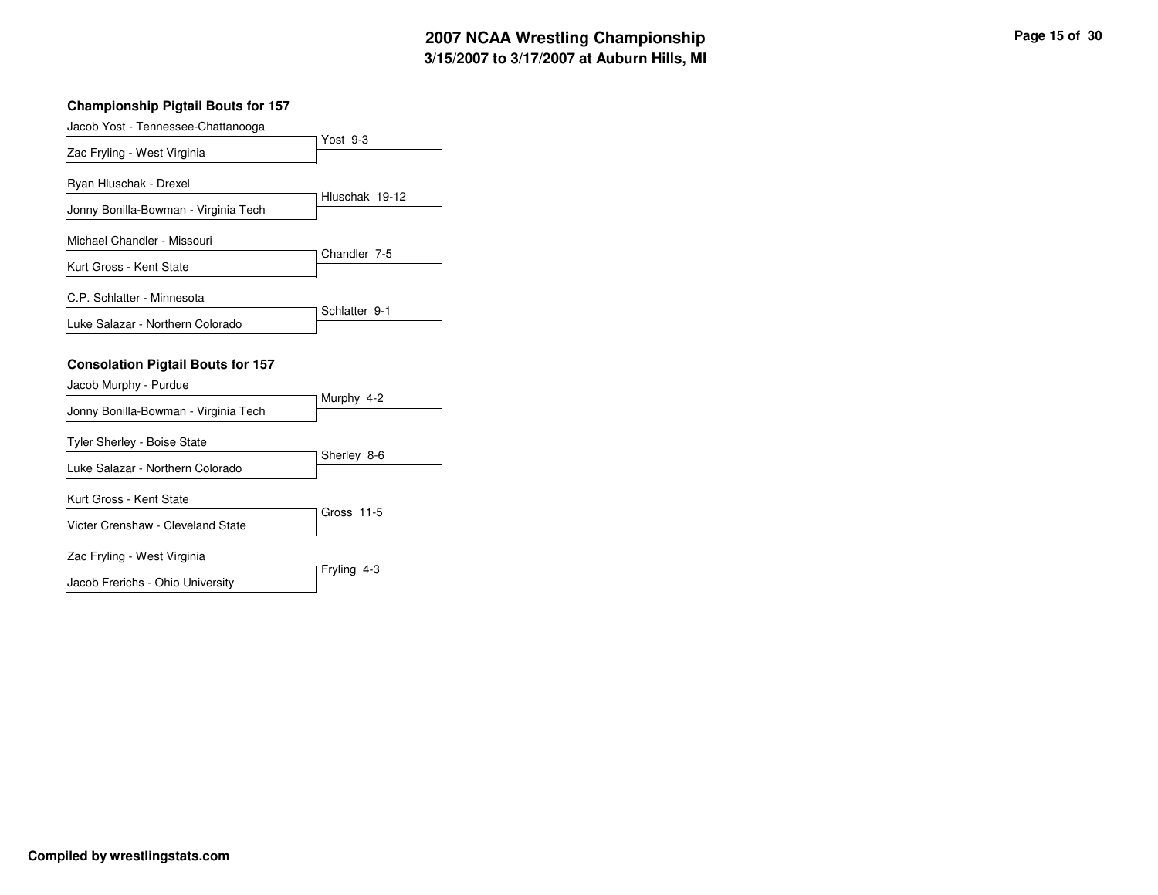### **Championship Pigtail Bouts for 157** Yost 9-3 Jacob Yost - Tennessee-Chattanooga Zac Fryling - West Virginia Hluschak 19-12 Ryan Hluschak - Drexel Jonny Bonilla-Bowman - Virginia Tech Chandler 7-5 Michael Chandler - Missouri Kurt Gross - Kent State Schlatter 9-1 C.P. Schlatter - Minnesota Luke Salazar - Northern Colorado **Consolation Pigtail Bouts for 157** Murphy 4-2 Jacob Murphy - Purdue Jonny Bonilla-Bowman - Virginia Tech Sherley 8-6 Tyler Sherley - Boise State Luke Salazar - Northern Colorado Gross 11-5 Kurt Gross - Kent State Victer Crenshaw - Cleveland State Fryling 4-3 Zac Fryling - West Virginia

Jacob Frerichs - Ohio University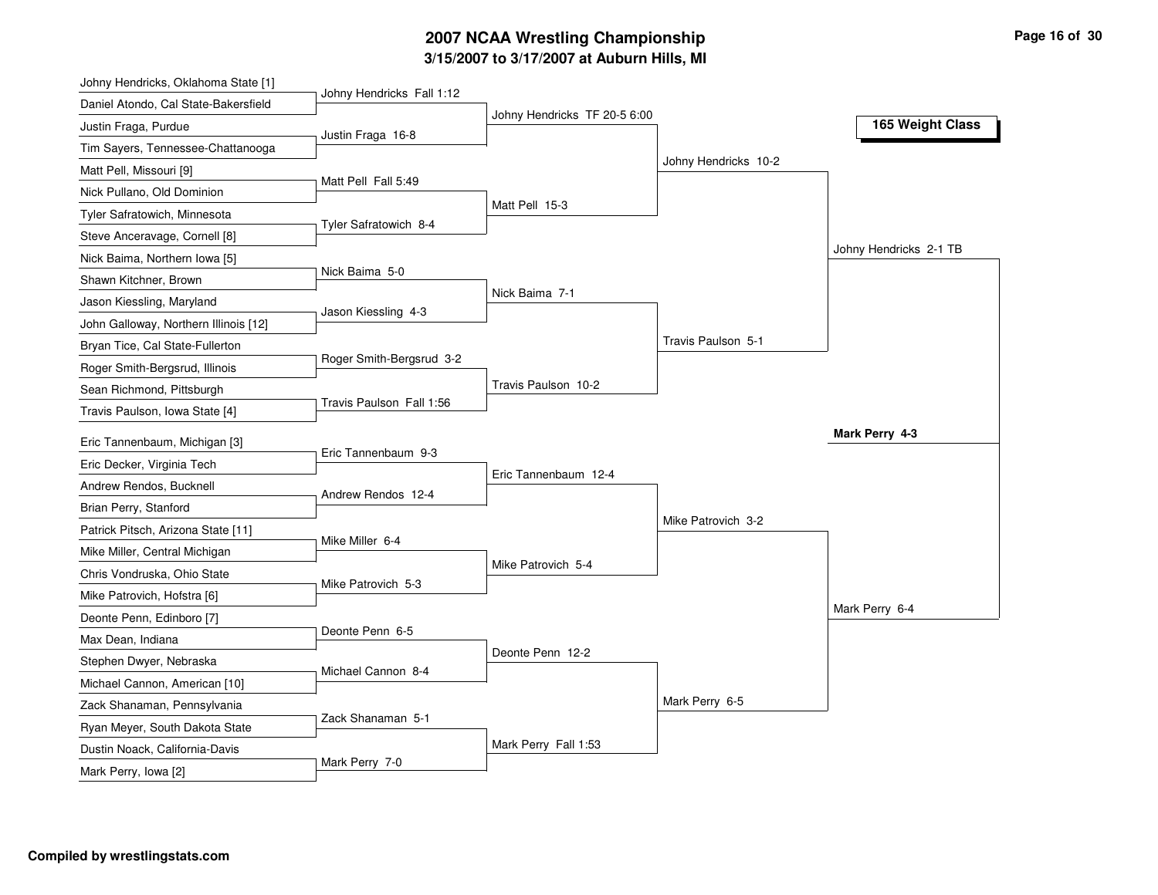### **3/15/2007 to 3/17/2007 at Auburn Hills, MI 2007 NCAA Wrestling Championship Page 16 of 30**

| Johny Hendricks, Oklahoma State [1]   |                           |                              |                      |                        |
|---------------------------------------|---------------------------|------------------------------|----------------------|------------------------|
| Daniel Atondo, Cal State-Bakersfield  | Johny Hendricks Fall 1:12 |                              |                      |                        |
| Justin Fraga, Purdue                  | Justin Fraga 16-8         | Johny Hendricks TF 20-5 6:00 |                      | 165 Weight Class       |
| Tim Sayers, Tennessee-Chattanooga     |                           |                              |                      |                        |
| Matt Pell, Missouri [9]               |                           |                              | Johny Hendricks 10-2 |                        |
| Nick Pullano, Old Dominion            | Matt Pell Fall 5:49       |                              |                      |                        |
| Tyler Safratowich, Minnesota          |                           | Matt Pell 15-3               |                      |                        |
| Steve Anceravage, Cornell [8]         | Tyler Safratowich 8-4     |                              |                      |                        |
| Nick Baima, Northern Iowa [5]         |                           |                              |                      | Johny Hendricks 2-1 TB |
| Shawn Kitchner, Brown                 | Nick Baima 5-0            |                              |                      |                        |
| Jason Kiessling, Maryland             |                           | Nick Baima 7-1               |                      |                        |
| John Galloway, Northern Illinois [12] | Jason Kiessling 4-3       |                              |                      |                        |
| Bryan Tice, Cal State-Fullerton       |                           |                              | Travis Paulson 5-1   |                        |
| Roger Smith-Bergsrud, Illinois        | Roger Smith-Bergsrud 3-2  |                              |                      |                        |
| Sean Richmond, Pittsburgh             |                           | Travis Paulson 10-2          |                      |                        |
| Travis Paulson, Iowa State [4]        | Travis Paulson Fall 1:56  |                              |                      |                        |
| Eric Tannenbaum, Michigan [3]         |                           |                              |                      | Mark Perry 4-3         |
| Eric Decker, Virginia Tech            | Eric Tannenbaum 9-3       |                              |                      |                        |
| Andrew Rendos, Bucknell               |                           | Eric Tannenbaum 12-4         |                      |                        |
| Brian Perry, Stanford                 | Andrew Rendos 12-4        |                              |                      |                        |
| Patrick Pitsch, Arizona State [11]    |                           |                              | Mike Patrovich 3-2   |                        |
| Mike Miller, Central Michigan         | Mike Miller 6-4           |                              |                      |                        |
| Chris Vondruska, Ohio State           |                           | Mike Patrovich 5-4           |                      |                        |
| Mike Patrovich, Hofstra [6]           | Mike Patrovich 5-3        |                              |                      |                        |
| Deonte Penn, Edinboro [7]             |                           |                              |                      | Mark Perry 6-4         |
| Max Dean, Indiana                     | Deonte Penn 6-5           |                              |                      |                        |
| Stephen Dwyer, Nebraska               |                           | Deonte Penn 12-2             |                      |                        |
| Michael Cannon, American [10]         | Michael Cannon 8-4        |                              |                      |                        |
| Zack Shanaman, Pennsylvania           |                           |                              | Mark Perry 6-5       |                        |
| Ryan Meyer, South Dakota State        | Zack Shanaman 5-1         |                              |                      |                        |
|                                       |                           |                              |                      |                        |
| Dustin Noack, California-Davis        |                           | Mark Perry Fall 1:53         |                      |                        |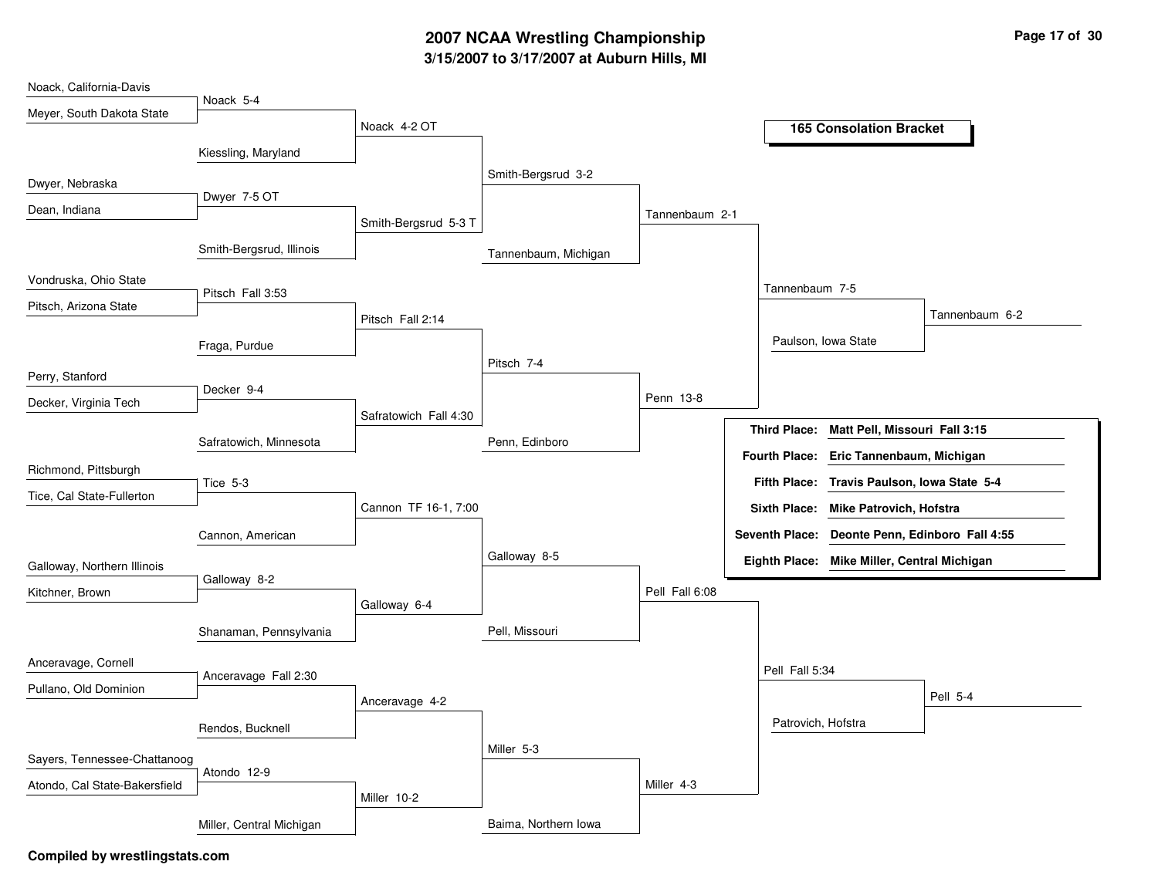# **3/15/2007 to 3/17/2007 at Auburn Hills, MI 2007 NCAA Wrestling Championship Page 17 of 30**

| Noack, California-Davis       |                          |                       |                      |                |                     |                                                |                |
|-------------------------------|--------------------------|-----------------------|----------------------|----------------|---------------------|------------------------------------------------|----------------|
| Meyer, South Dakota State     | Noack 5-4                |                       |                      |                |                     |                                                |                |
|                               |                          | Noack 4-2 OT          |                      |                |                     | <b>165 Consolation Bracket</b>                 |                |
|                               | Kiessling, Maryland      |                       |                      |                |                     |                                                |                |
|                               |                          |                       | Smith-Bergsrud 3-2   |                |                     |                                                |                |
| Dwyer, Nebraska               |                          |                       |                      |                |                     |                                                |                |
| Dean, Indiana                 | Dwyer 7-5 OT             |                       |                      | Tannenbaum 2-1 |                     |                                                |                |
|                               |                          | Smith-Bergsrud 5-3 T  |                      |                |                     |                                                |                |
|                               | Smith-Bergsrud, Illinois |                       | Tannenbaum, Michigan |                |                     |                                                |                |
| Vondruska, Ohio State         |                          |                       |                      |                |                     |                                                |                |
|                               | Pitsch Fall 3:53         |                       |                      |                | Tannenbaum 7-5      |                                                |                |
| Pitsch, Arizona State         |                          | Pitsch Fall 2:14      |                      |                |                     |                                                | Tannenbaum 6-2 |
|                               |                          |                       |                      |                |                     | Paulson, Iowa State                            |                |
|                               | Fraga, Purdue            |                       |                      |                |                     |                                                |                |
| Perry, Stanford               |                          |                       | Pitsch 7-4           |                |                     |                                                |                |
|                               | Decker 9-4               |                       |                      | Penn 13-8      |                     |                                                |                |
| Decker, Virginia Tech         |                          | Safratowich Fall 4:30 |                      |                |                     |                                                |                |
|                               |                          |                       |                      |                | <b>Third Place:</b> | Matt Pell, Missouri Fall 3:15                  |                |
|                               | Safratowich, Minnesota   |                       | Penn, Edinboro       |                |                     | Fourth Place: Eric Tannenbaum, Michigan        |                |
| Richmond, Pittsburgh          |                          |                       |                      |                |                     |                                                |                |
| Tice, Cal State-Fullerton     | Tice 5-3                 |                       |                      |                |                     | Fifth Place: Travis Paulson, Iowa State 5-4    |                |
|                               |                          | Cannon TF 16-1, 7:00  |                      |                |                     | Sixth Place: Mike Patrovich, Hofstra           |                |
|                               | Cannon, American         |                       |                      |                |                     | Seventh Place: Deonte Penn, Edinboro Fall 4:55 |                |
|                               |                          |                       | Galloway 8-5         |                |                     |                                                |                |
| Galloway, Northern Illinois   |                          |                       |                      |                |                     | Eighth Place: Mike Miller, Central Michigan    |                |
| Kitchner, Brown               | Galloway 8-2             |                       |                      | Pell Fall 6:08 |                     |                                                |                |
|                               |                          | Galloway 6-4          |                      |                |                     |                                                |                |
|                               | Shanaman, Pennsylvania   |                       | Pell, Missouri       |                |                     |                                                |                |
|                               |                          |                       |                      |                |                     |                                                |                |
| Anceravage, Cornell           | Anceravage Fall 2:30     |                       |                      |                | Pell Fall 5:34      |                                                |                |
| Pullano, Old Dominion         |                          |                       |                      |                |                     |                                                | Pell 5-4       |
|                               |                          | Anceravage 4-2        |                      |                |                     |                                                |                |
|                               | Rendos, Bucknell         |                       |                      |                | Patrovich, Hofstra  |                                                |                |
|                               |                          |                       | Miller 5-3           |                |                     |                                                |                |
| Sayers, Tennessee-Chattanoog  | Atondo 12-9              |                       |                      |                |                     |                                                |                |
| Atondo, Cal State-Bakersfield |                          |                       |                      | Miller 4-3     |                     |                                                |                |
|                               |                          | Miller 10-2           |                      |                |                     |                                                |                |
|                               | Miller, Central Michigan |                       | Baima, Northern Iowa |                |                     |                                                |                |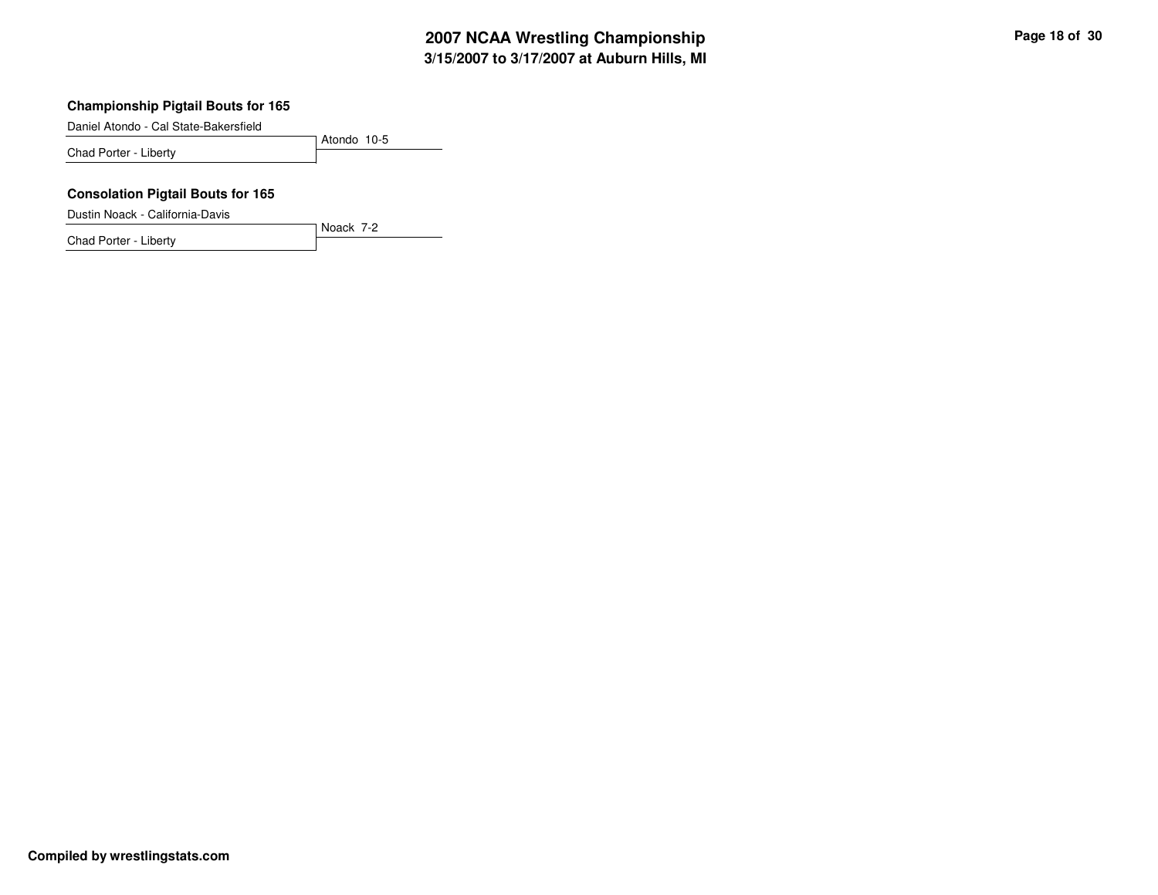#### **Championship Pigtail Bouts for 165**

Daniel Atondo - Cal State-Bakersfield

Atondo 10-5 Chad Porter - Liberty

Noack 7-2

### **Consolation Pigtail Bouts for 165**

Dustin Noack - California-Davis

Chad Porter - Liberty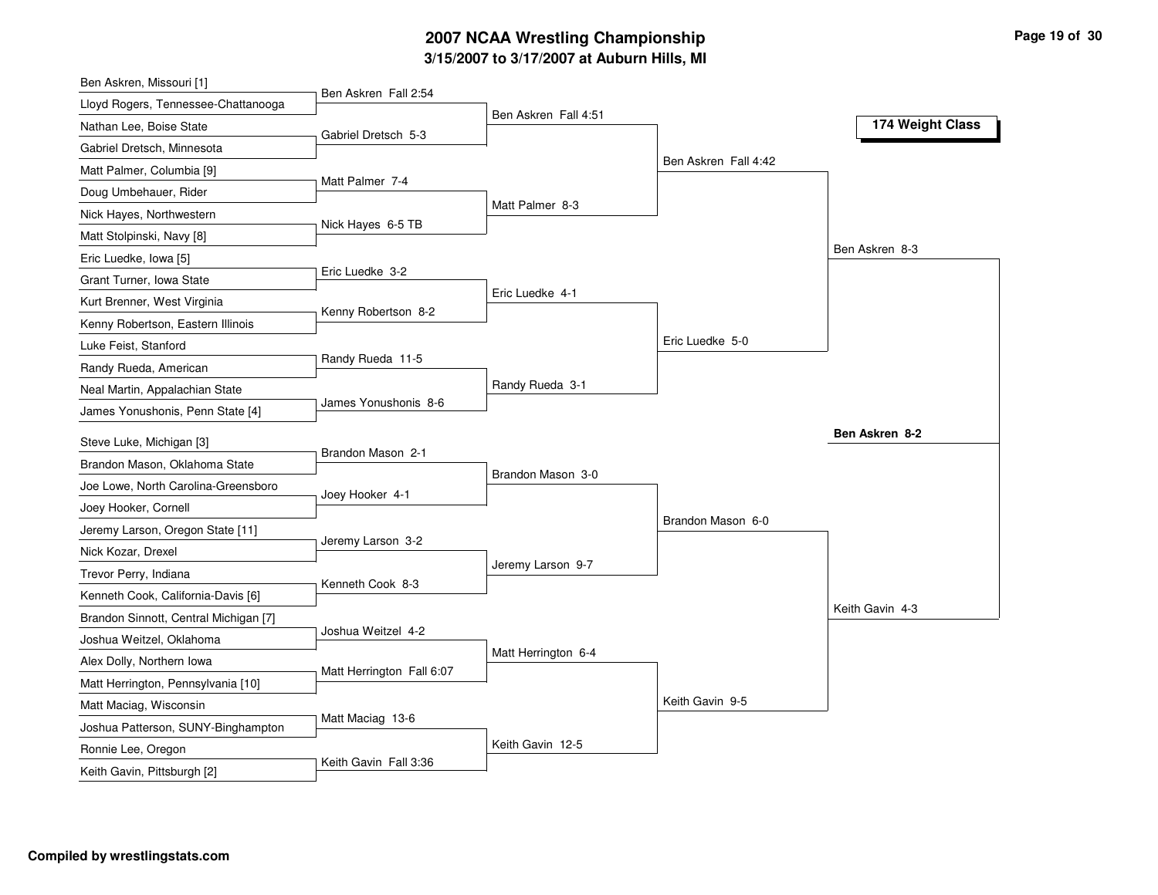### **3/15/2007 to 3/17/2007 at Auburn Hills, MI 2007 NCAA Wrestling Championship Page 19 of 30**

| Ben Askren, Missouri [1]                          |                           |                      |                      |                  |
|---------------------------------------------------|---------------------------|----------------------|----------------------|------------------|
| Lloyd Rogers, Tennessee-Chattanooga               | Ben Askren Fall 2:54      |                      |                      |                  |
| Nathan Lee, Boise State                           | Gabriel Dretsch 5-3       | Ben Askren Fall 4:51 |                      | 174 Weight Class |
| Gabriel Dretsch, Minnesota                        |                           |                      |                      |                  |
| Matt Palmer, Columbia [9]                         |                           |                      | Ben Askren Fall 4:42 |                  |
| Doug Umbehauer, Rider                             | Matt Palmer 7-4           |                      |                      |                  |
| Nick Hayes, Northwestern                          |                           | Matt Palmer 8-3      |                      |                  |
| Matt Stolpinski, Navy [8]                         | Nick Hayes 6-5 TB         |                      |                      |                  |
| Eric Luedke, Iowa [5]                             |                           |                      |                      | Ben Askren 8-3   |
| Grant Turner, Iowa State                          | Eric Luedke 3-2           |                      |                      |                  |
| Kurt Brenner, West Virginia                       | Kenny Robertson 8-2       | Eric Luedke 4-1      |                      |                  |
| Kenny Robertson, Eastern Illinois                 |                           |                      |                      |                  |
| Luke Feist, Stanford                              |                           |                      | Eric Luedke 5-0      |                  |
| Randy Rueda, American                             | Randy Rueda 11-5          |                      |                      |                  |
| Neal Martin, Appalachian State                    |                           | Randy Rueda 3-1      |                      |                  |
| James Yonushonis, Penn State [4]                  | James Yonushonis 8-6      |                      |                      |                  |
|                                                   |                           |                      |                      |                  |
|                                                   |                           |                      |                      | Ben Askren 8-2   |
| Steve Luke, Michigan [3]                          | Brandon Mason 2-1         |                      |                      |                  |
| Brandon Mason, Oklahoma State                     |                           | Brandon Mason 3-0    |                      |                  |
| Joe Lowe, North Carolina-Greensboro               | Joey Hooker 4-1           |                      |                      |                  |
| Joey Hooker, Cornell                              |                           |                      | Brandon Mason 6-0    |                  |
| Jeremy Larson, Oregon State [11]                  | Jeremy Larson 3-2         |                      |                      |                  |
| Nick Kozar, Drexel                                |                           | Jeremy Larson 9-7    |                      |                  |
| Trevor Perry, Indiana                             | Kenneth Cook 8-3          |                      |                      |                  |
| Kenneth Cook, California-Davis [6]                |                           |                      |                      | Keith Gavin 4-3  |
| Brandon Sinnott, Central Michigan [7]             | Joshua Weitzel 4-2        |                      |                      |                  |
| Joshua Weitzel, Oklahoma                          |                           | Matt Herrington 6-4  |                      |                  |
| Alex Dolly, Northern Iowa                         | Matt Herrington Fall 6:07 |                      |                      |                  |
| Matt Herrington, Pennsylvania [10]                |                           |                      |                      |                  |
| Matt Maciag, Wisconsin                            | Matt Maciag 13-6          |                      | Keith Gavin 9-5      |                  |
| Joshua Patterson, SUNY-Binghampton                |                           |                      |                      |                  |
| Ronnie Lee, Oregon<br>Keith Gavin, Pittsburgh [2] | Keith Gavin Fall 3:36     | Keith Gavin 12-5     |                      |                  |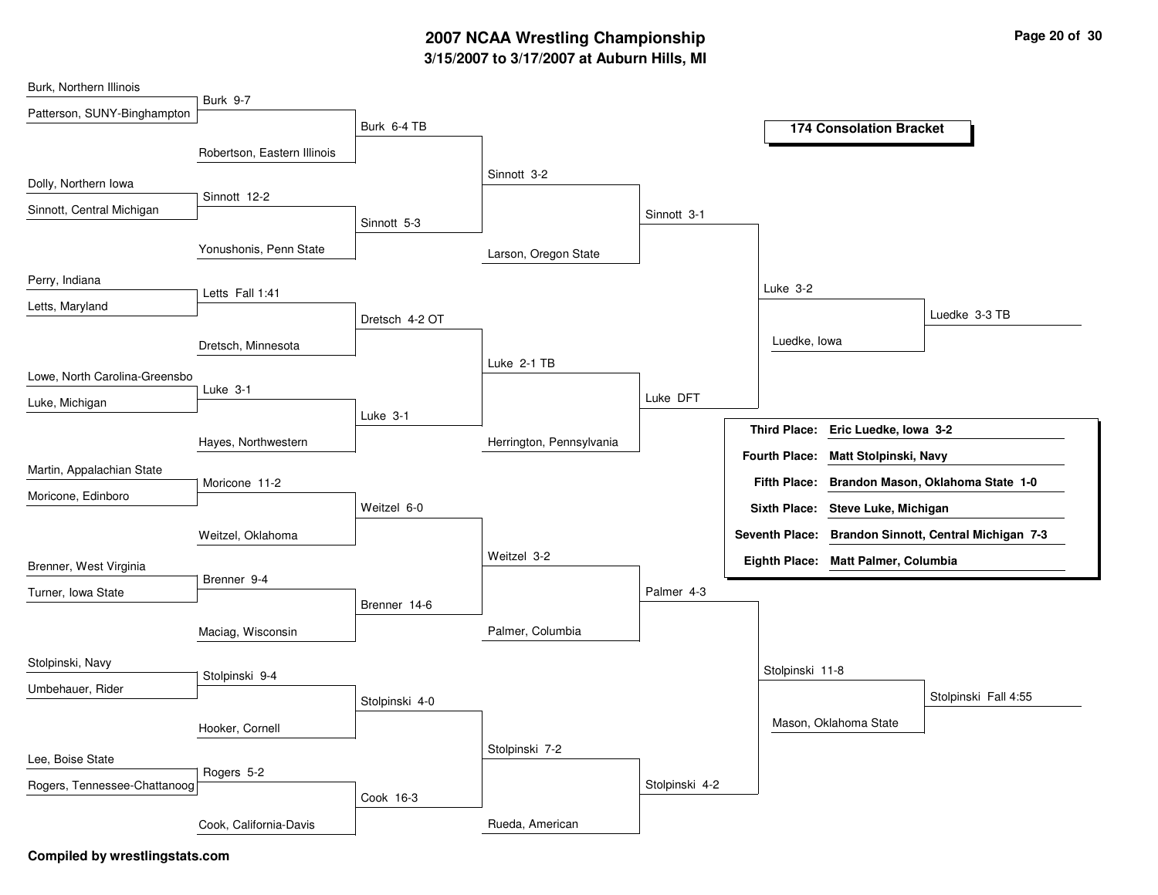# **3/15/2007 to 3/17/2007 at Auburn Hills, MI 2007 NCAA Wrestling Championship Page 20 of 30**

| Burk, Northern Illinois       |                             |                |                          |                |                      |                                     |                                                      |
|-------------------------------|-----------------------------|----------------|--------------------------|----------------|----------------------|-------------------------------------|------------------------------------------------------|
| Patterson, SUNY-Binghampton   | <b>Burk 9-7</b>             |                |                          |                |                      |                                     |                                                      |
|                               |                             | Burk 6-4 TB    |                          |                |                      | <b>174 Consolation Bracket</b>      |                                                      |
|                               | Robertson, Eastern Illinois |                |                          |                |                      |                                     |                                                      |
| Dolly, Northern Iowa          |                             |                | Sinnott 3-2              |                |                      |                                     |                                                      |
| Sinnott, Central Michigan     | Sinnott 12-2                |                |                          | Sinnott 3-1    |                      |                                     |                                                      |
|                               |                             | Sinnott 5-3    |                          |                |                      |                                     |                                                      |
|                               | Yonushonis, Penn State      |                | Larson, Oregon State     |                |                      |                                     |                                                      |
| Perry, Indiana                |                             |                |                          |                | Luke 3-2             |                                     |                                                      |
| Letts, Maryland               | Letts Fall 1:41             |                |                          |                |                      |                                     |                                                      |
|                               |                             | Dretsch 4-2 OT |                          |                |                      |                                     | Luedke 3-3 TB                                        |
|                               | Dretsch, Minnesota          |                |                          |                | Luedke, Iowa         |                                     |                                                      |
| Lowe, North Carolina-Greensbo |                             |                | Luke 2-1 TB              |                |                      |                                     |                                                      |
| Luke, Michigan                | Luke 3-1                    |                |                          | Luke DFT       |                      |                                     |                                                      |
|                               |                             | Luke 3-1       |                          |                |                      |                                     |                                                      |
|                               | Hayes, Northwestern         |                | Herrington, Pennsylvania |                | <b>Third Place:</b>  | Eric Luedke, Iowa 3-2               |                                                      |
| Martin, Appalachian State     |                             |                |                          |                | <b>Fourth Place:</b> | Matt Stolpinski, Navy               |                                                      |
| Moricone, Edinboro            | Moricone 11-2               |                |                          |                |                      |                                     | Fifth Place: Brandon Mason, Oklahoma State 1-0       |
|                               |                             | Weitzel 6-0    |                          |                |                      | Sixth Place: Steve Luke, Michigan   |                                                      |
|                               | Weitzel, Oklahoma           |                |                          |                |                      |                                     | Seventh Place: Brandon Sinnott, Central Michigan 7-3 |
| Brenner, West Virginia        |                             |                | Weitzel 3-2              |                |                      | Eighth Place: Matt Palmer, Columbia |                                                      |
| Turner, Iowa State            | Brenner 9-4                 |                |                          | Palmer 4-3     |                      |                                     |                                                      |
|                               |                             | Brenner 14-6   |                          |                |                      |                                     |                                                      |
|                               | Maciag, Wisconsin           |                | Palmer, Columbia         |                |                      |                                     |                                                      |
| Stolpinski, Navy              |                             |                |                          |                |                      |                                     |                                                      |
| Umbehauer, Rider              | Stolpinski 9-4              |                |                          |                | Stolpinski 11-8      |                                     |                                                      |
|                               |                             | Stolpinski 4-0 |                          |                |                      |                                     | Stolpinski Fall 4:55                                 |
|                               | Hooker, Cornell             |                |                          |                |                      | Mason, Oklahoma State               |                                                      |
| Lee, Boise State              |                             |                | Stolpinski 7-2           |                |                      |                                     |                                                      |
|                               | Rogers 5-2                  |                |                          |                |                      |                                     |                                                      |
| Rogers, Tennessee-Chattanoog  |                             | Cook 16-3      |                          | Stolpinski 4-2 |                      |                                     |                                                      |
|                               | Cook, California-Davis      |                | Rueda, American          |                |                      |                                     |                                                      |
|                               |                             |                |                          |                |                      |                                     |                                                      |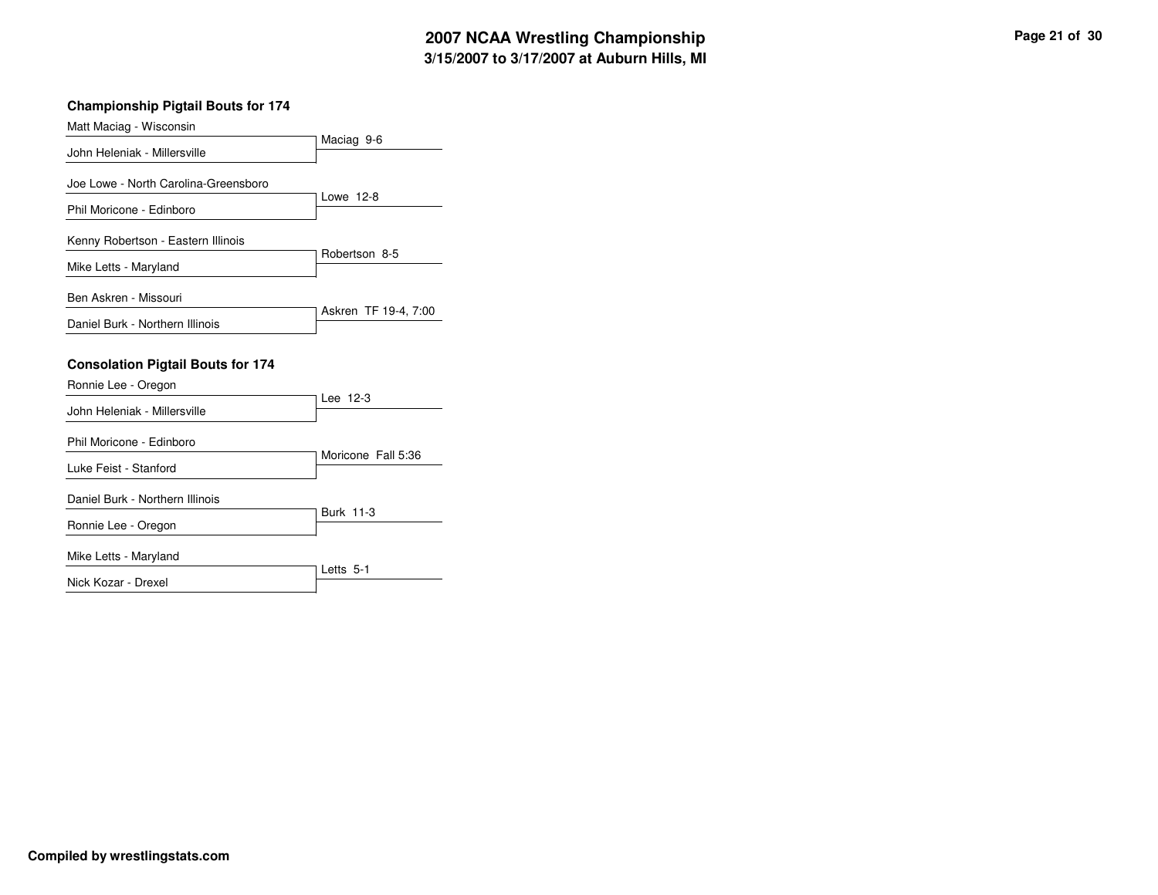### **Championship Pigtail Bouts for 174**

| Matt Maciag - Wisconsin                                                           |                      |
|-----------------------------------------------------------------------------------|----------------------|
| John Heleniak - Millersville                                                      | Maciag 9-6           |
| Joe Lowe - North Carolina-Greensboro                                              | Lowe 12-8            |
| Phil Moricone - Edinboro                                                          |                      |
| Kenny Robertson - Eastern Illinois                                                | Robertson 8-5        |
| Mike Letts - Maryland                                                             |                      |
| Ben Askren - Missouri                                                             | Askren TF 19-4, 7:00 |
| Daniel Burk - Northern Illinois                                                   |                      |
| <b>Consolation Pigtail Bouts for 174</b><br>Ronnie Lee - Oregon                   |                      |
|                                                                                   |                      |
|                                                                                   | Lee 12-3             |
| John Heleniak - Millersville<br>Phil Moricone - Edinboro<br>Luke Feist - Stanford | Moricone Fall 5:36   |
| Daniel Burk - Northern Illinois                                                   |                      |
| Ronnie Lee - Oregon                                                               | <b>Burk 11-3</b>     |
| Mike Letts - Maryland                                                             | Letts 5-1            |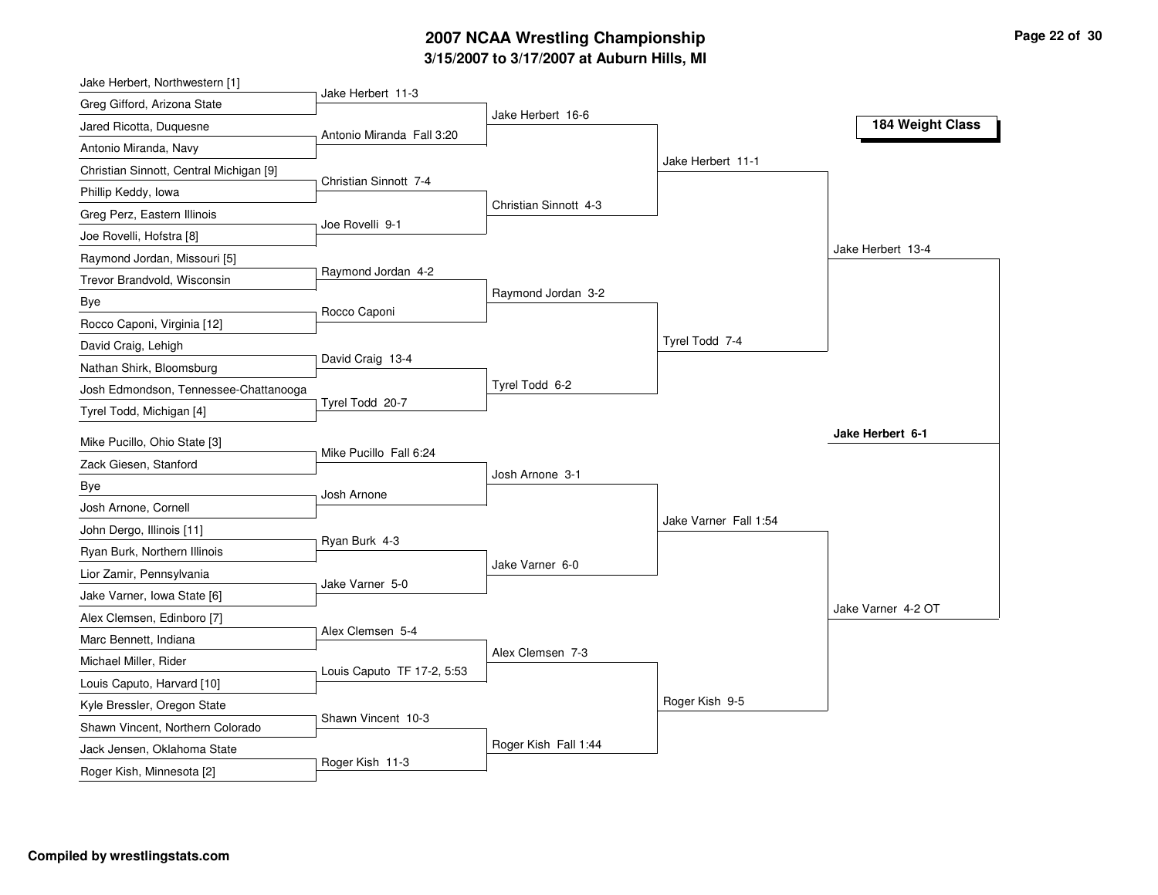### **3/15/2007 to 3/17/2007 at Auburn Hills, MI 2007 NCAA Wrestling Championship Page 22 of 30**

| Jake Herbert, Northwestern [1]          |                            |                       |                       |                    |
|-----------------------------------------|----------------------------|-----------------------|-----------------------|--------------------|
| Greg Gifford, Arizona State             | Jake Herbert 11-3          | Jake Herbert 16-6     |                       |                    |
| Jared Ricotta, Duquesne                 | Antonio Miranda Fall 3:20  |                       |                       | 184 Weight Class   |
| Antonio Miranda, Navy                   |                            |                       |                       |                    |
| Christian Sinnott, Central Michigan [9] | Christian Sinnott 7-4      |                       | Jake Herbert 11-1     |                    |
| Phillip Keddy, Iowa                     |                            |                       |                       |                    |
| Greg Perz, Eastern Illinois             | Joe Rovelli 9-1            | Christian Sinnott 4-3 |                       |                    |
| Joe Rovelli, Hofstra [8]                |                            |                       |                       |                    |
| Raymond Jordan, Missouri [5]            |                            |                       |                       | Jake Herbert 13-4  |
| Trevor Brandvold, Wisconsin             | Raymond Jordan 4-2         |                       |                       |                    |
| Bye                                     | Rocco Caponi               | Raymond Jordan 3-2    |                       |                    |
| Rocco Caponi, Virginia [12]             |                            |                       |                       |                    |
| David Craig, Lehigh                     |                            |                       | Tyrel Todd 7-4        |                    |
| Nathan Shirk, Bloomsburg                | David Craig 13-4           |                       |                       |                    |
| Josh Edmondson, Tennessee-Chattanooga   |                            | Tyrel Todd 6-2        |                       |                    |
| Tyrel Todd, Michigan [4]                | Tyrel Todd 20-7            |                       |                       |                    |
| Mike Pucillo, Ohio State [3]            |                            |                       |                       | Jake Herbert 6-1   |
| Zack Giesen, Stanford                   | Mike Pucillo Fall 6:24     |                       |                       |                    |
| Bye                                     |                            | Josh Arnone 3-1       |                       |                    |
| Josh Arnone, Cornell                    | Josh Arnone                |                       |                       |                    |
| John Dergo, Illinois [11]               |                            |                       | Jake Varner Fall 1:54 |                    |
| Ryan Burk, Northern Illinois            | Ryan Burk 4-3              |                       |                       |                    |
| Lior Zamir, Pennsylvania                |                            | Jake Varner 6-0       |                       |                    |
| Jake Varner, Iowa State [6]             | Jake Varner 5-0            |                       |                       |                    |
| Alex Clemsen, Edinboro [7]              |                            |                       |                       | Jake Varner 4-2 OT |
| Marc Bennett, Indiana                   | Alex Clemsen 5-4           |                       |                       |                    |
| Michael Miller, Rider                   |                            | Alex Clemsen 7-3      |                       |                    |
| Louis Caputo, Harvard [10]              | Louis Caputo TF 17-2, 5:53 |                       |                       |                    |
| Kyle Bressler, Oregon State             |                            |                       | Roger Kish 9-5        |                    |
| Shawn Vincent, Northern Colorado        | Shawn Vincent 10-3         |                       |                       |                    |
| Jack Jensen, Oklahoma State             |                            | Roger Kish Fall 1:44  |                       |                    |
| Roger Kish, Minnesota [2]               | Roger Kish 11-3            |                       |                       |                    |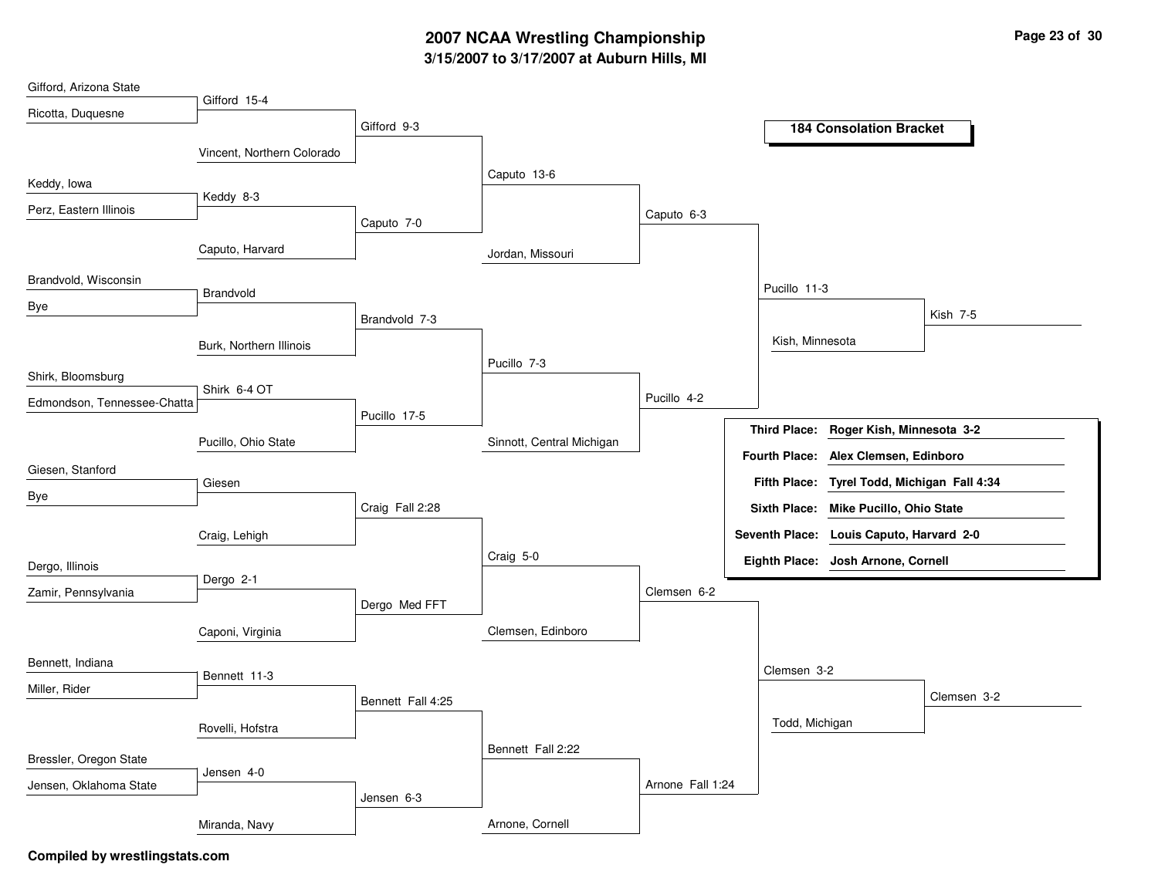# **3/15/2007 to 3/17/2007 at Auburn Hills, MI 2007 NCAA Wrestling Championship Page 23 of 30**

| Gifford, Arizona State      |                            |                   |                           |                  |                      |                                          |             |
|-----------------------------|----------------------------|-------------------|---------------------------|------------------|----------------------|------------------------------------------|-------------|
| Ricotta, Duquesne           | Gifford 15-4               |                   |                           |                  |                      |                                          |             |
|                             |                            | Gifford 9-3       |                           |                  |                      | <b>184 Consolation Bracket</b>           |             |
|                             | Vincent, Northern Colorado |                   |                           |                  |                      |                                          |             |
| Keddy, Iowa                 |                            |                   | Caputo 13-6               |                  |                      |                                          |             |
| Perz, Eastern Illinois      | Keddy 8-3                  |                   |                           | Caputo 6-3       |                      |                                          |             |
|                             |                            | Caputo 7-0        |                           |                  |                      |                                          |             |
|                             | Caputo, Harvard            |                   | Jordan, Missouri          |                  |                      |                                          |             |
| Brandvold, Wisconsin        |                            |                   |                           |                  | Pucillo 11-3         |                                          |             |
| Bye                         | Brandvold                  |                   |                           |                  |                      |                                          | Kish 7-5    |
|                             |                            | Brandvold 7-3     |                           |                  |                      |                                          |             |
|                             | Burk, Northern Illinois    |                   | Pucillo 7-3               |                  | Kish, Minnesota      |                                          |             |
| Shirk, Bloomsburg           |                            |                   |                           |                  |                      |                                          |             |
| Edmondson, Tennessee-Chatta | Shirk 6-4 OT               |                   |                           | Pucillo 4-2      |                      |                                          |             |
|                             |                            | Pucillo 17-5      |                           |                  | <b>Third Place:</b>  | Roger Kish, Minnesota 3-2                |             |
|                             | Pucillo, Ohio State        |                   | Sinnott, Central Michigan |                  | <b>Fourth Place:</b> | Alex Clemsen, Edinboro                   |             |
| Giesen, Stanford            | Giesen                     |                   |                           |                  | <b>Fifth Place:</b>  | Tyrel Todd, Michigan Fall 4:34           |             |
| Bye                         |                            | Craig Fall 2:28   |                           |                  |                      | Sixth Place: Mike Pucillo, Ohio State    |             |
|                             |                            |                   |                           |                  |                      | Seventh Place: Louis Caputo, Harvard 2-0 |             |
|                             | Craig, Lehigh              |                   | Craig 5-0                 |                  |                      |                                          |             |
| Dergo, Illinois             | Dergo 2-1                  |                   |                           |                  |                      | Eighth Place: Josh Arnone, Cornell       |             |
| Zamir, Pennsylvania         |                            | Dergo Med FFT     |                           | Clemsen 6-2      |                      |                                          |             |
|                             |                            |                   | Clemsen, Edinboro         |                  |                      |                                          |             |
|                             | Caponi, Virginia           |                   |                           |                  |                      |                                          |             |
| Bennett, Indiana            | Bennett 11-3               |                   |                           |                  | Clemsen 3-2          |                                          |             |
| Miller, Rider               |                            | Bennett Fall 4:25 |                           |                  |                      |                                          | Clemsen 3-2 |
|                             |                            |                   |                           |                  | Todd, Michigan       |                                          |             |
|                             | Rovelli, Hofstra           |                   | Bennett Fall 2:22         |                  |                      |                                          |             |
| Bressler, Oregon State      | Jensen 4-0                 |                   |                           |                  |                      |                                          |             |
| Jensen, Oklahoma State      |                            | Jensen 6-3        |                           | Arnone Fall 1:24 |                      |                                          |             |
|                             |                            |                   |                           |                  |                      |                                          |             |
|                             | Miranda, Navy              |                   | Arnone, Cornell           |                  |                      |                                          |             |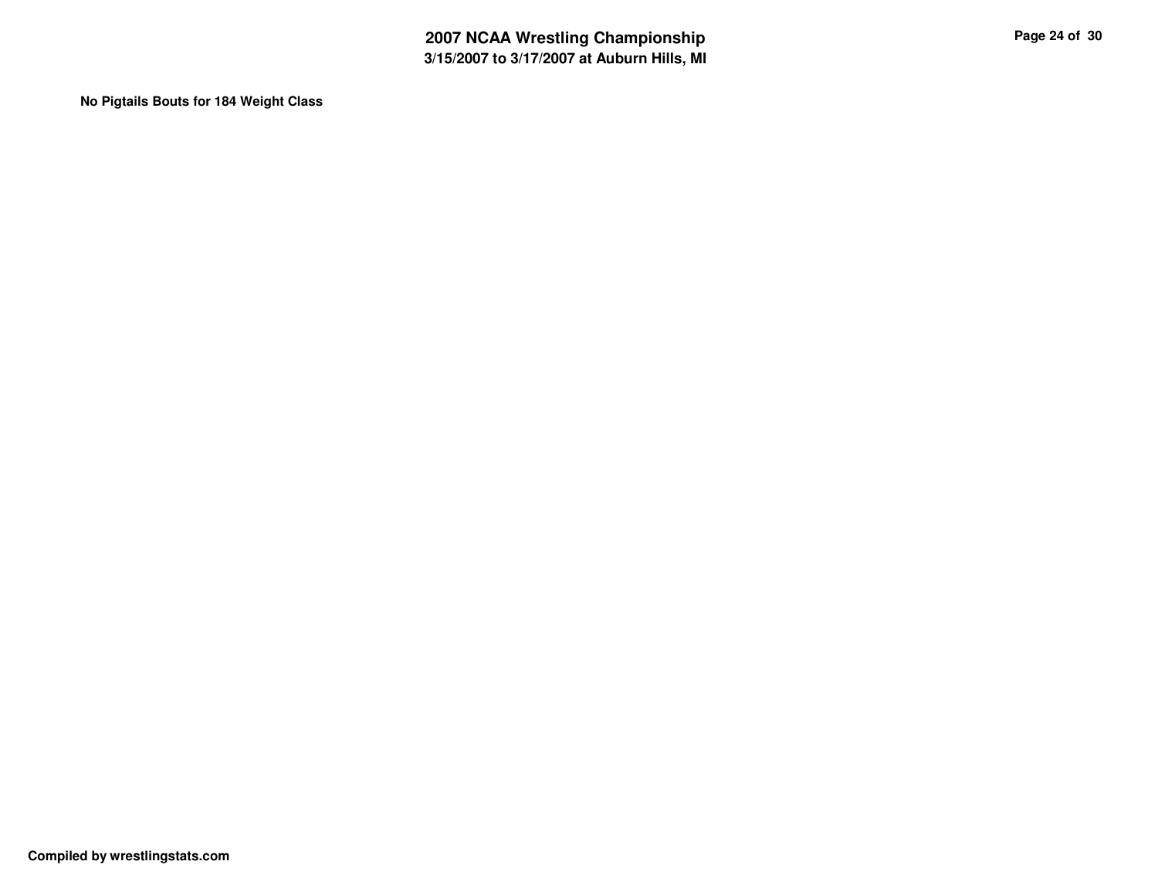**No Pigtails Bouts for 184 Weight Class**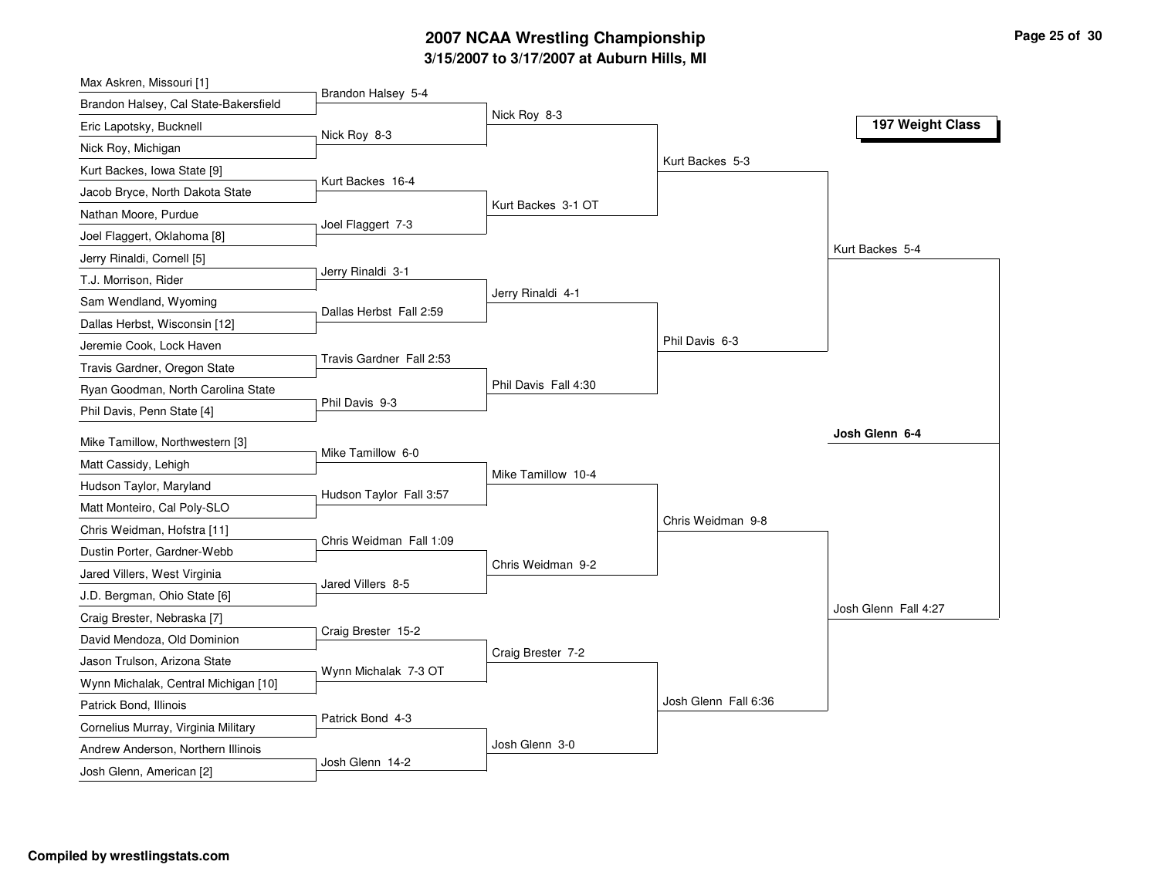### **3/15/2007 to 3/17/2007 at Auburn Hills, MI 2007 NCAA Wrestling Championship Page 25 of 30**

| Max Askren, Missouri [1]              |                          |                      |                      |                      |
|---------------------------------------|--------------------------|----------------------|----------------------|----------------------|
| Brandon Halsey, Cal State-Bakersfield | Brandon Halsey 5-4       |                      |                      |                      |
| Eric Lapotsky, Bucknell               | Nick Roy 8-3             | Nick Roy 8-3         |                      | 197 Weight Class     |
| Nick Roy, Michigan                    |                          |                      |                      |                      |
| Kurt Backes, Iowa State [9]           |                          |                      | Kurt Backes 5-3      |                      |
| Jacob Bryce, North Dakota State       | Kurt Backes 16-4         |                      |                      |                      |
| Nathan Moore, Purdue                  |                          | Kurt Backes 3-1 OT   |                      |                      |
| Joel Flaggert, Oklahoma [8]           | Joel Flaggert 7-3        |                      |                      |                      |
| Jerry Rinaldi, Cornell [5]            |                          |                      |                      | Kurt Backes 5-4      |
| T.J. Morrison, Rider                  | Jerry Rinaldi 3-1        |                      |                      |                      |
| Sam Wendland, Wyoming                 | Dallas Herbst Fall 2:59  | Jerry Rinaldi 4-1    |                      |                      |
| Dallas Herbst, Wisconsin [12]         |                          |                      |                      |                      |
| Jeremie Cook, Lock Haven              |                          |                      | Phil Davis 6-3       |                      |
| Travis Gardner, Oregon State          | Travis Gardner Fall 2:53 |                      |                      |                      |
| Ryan Goodman, North Carolina State    |                          | Phil Davis Fall 4:30 |                      |                      |
| Phil Davis, Penn State [4]            | Phil Davis 9-3           |                      |                      |                      |
| Mike Tamillow, Northwestern [3]       |                          |                      |                      | Josh Glenn 6-4       |
| Matt Cassidy, Lehigh                  | Mike Tamillow 6-0        |                      |                      |                      |
| Hudson Taylor, Maryland               |                          | Mike Tamillow 10-4   |                      |                      |
| Matt Monteiro, Cal Poly-SLO           | Hudson Taylor Fall 3:57  |                      |                      |                      |
| Chris Weidman, Hofstra [11]           |                          |                      | Chris Weidman 9-8    |                      |
| Dustin Porter, Gardner-Webb           | Chris Weidman Fall 1:09  |                      |                      |                      |
| Jared Villers, West Virginia          |                          | Chris Weidman 9-2    |                      |                      |
| J.D. Bergman, Ohio State [6]          | Jared Villers 8-5        |                      |                      |                      |
| Craig Brester, Nebraska [7]           |                          |                      |                      | Josh Glenn Fall 4:27 |
| David Mendoza, Old Dominion           | Craig Brester 15-2       |                      |                      |                      |
| Jason Trulson, Arizona State          |                          | Craig Brester 7-2    |                      |                      |
| Wynn Michalak, Central Michigan [10]  | Wynn Michalak 7-3 OT     |                      |                      |                      |
| Patrick Bond, Illinois                |                          |                      | Josh Glenn Fall 6:36 |                      |
| Cornelius Murray, Virginia Military   | Patrick Bond 4-3         |                      |                      |                      |
| Andrew Anderson, Northern Illinois    |                          |                      |                      |                      |
|                                       |                          | Josh Glenn 3-0       |                      |                      |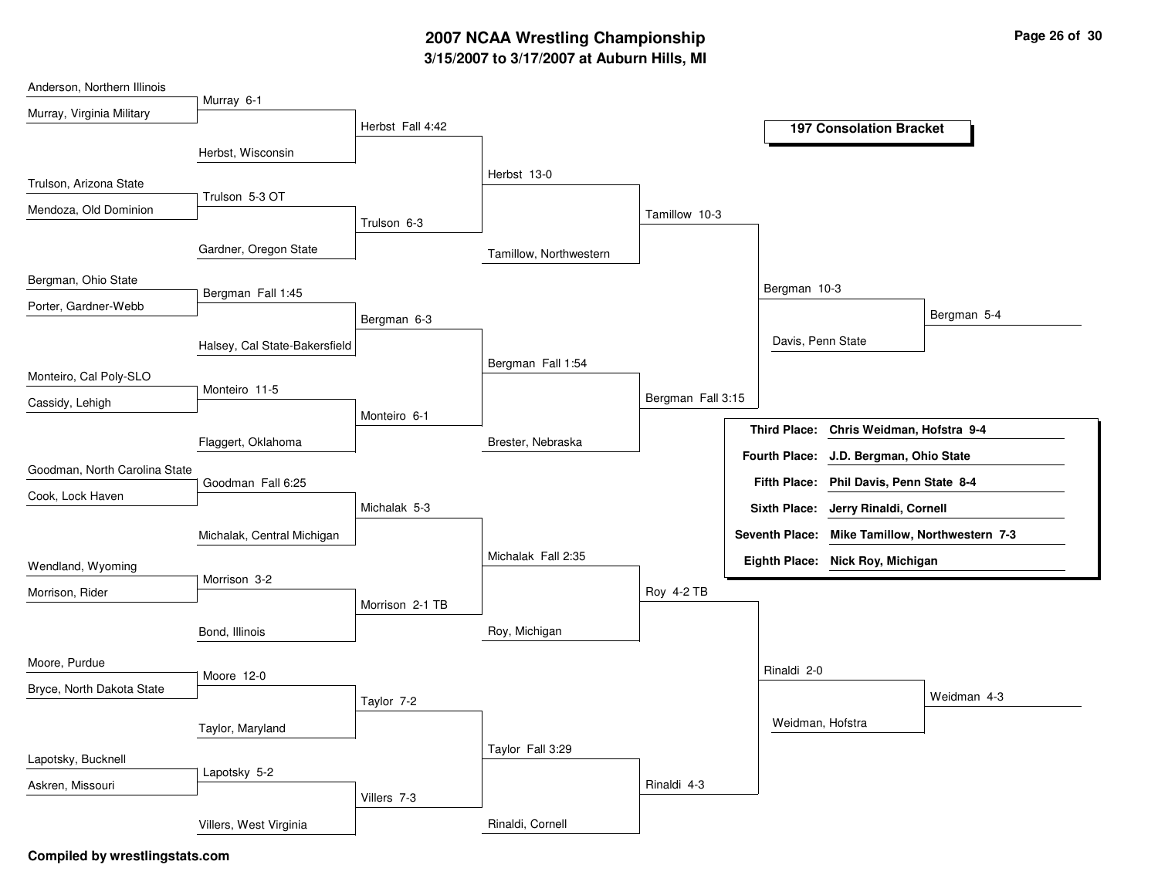# **3/15/2007 to 3/17/2007 at Auburn Hills, MI 2007 NCAA Wrestling Championship Page 26 of 30**

| Anderson, Northern Illinois   |                               |                  |                        |                   |                      |                                         |                                                |
|-------------------------------|-------------------------------|------------------|------------------------|-------------------|----------------------|-----------------------------------------|------------------------------------------------|
| Murray, Virginia Military     | Murray 6-1                    |                  |                        |                   |                      |                                         |                                                |
|                               |                               | Herbst Fall 4:42 |                        |                   |                      | <b>197 Consolation Bracket</b>          |                                                |
|                               | Herbst, Wisconsin             |                  |                        |                   |                      |                                         |                                                |
| Trulson, Arizona State        |                               |                  | Herbst 13-0            |                   |                      |                                         |                                                |
| Mendoza, Old Dominion         | Trulson 5-3 OT                |                  |                        |                   |                      |                                         |                                                |
|                               |                               | Trulson 6-3      |                        | Tamillow 10-3     |                      |                                         |                                                |
|                               | Gardner, Oregon State         |                  | Tamillow, Northwestern |                   |                      |                                         |                                                |
| Bergman, Ohio State           |                               |                  |                        |                   | Bergman 10-3         |                                         |                                                |
| Porter, Gardner-Webb          | Bergman Fall 1:45             |                  |                        |                   |                      |                                         |                                                |
|                               |                               | Bergman 6-3      |                        |                   |                      |                                         | Bergman 5-4                                    |
|                               | Halsey, Cal State-Bakersfield |                  |                        |                   | Davis, Penn State    |                                         |                                                |
| Monteiro, Cal Poly-SLO        |                               |                  | Bergman Fall 1:54      |                   |                      |                                         |                                                |
| Cassidy, Lehigh               | Monteiro 11-5                 |                  |                        | Bergman Fall 3:15 |                      |                                         |                                                |
|                               |                               | Monteiro 6-1     |                        |                   | <b>Third Place:</b>  | Chris Weidman, Hofstra 9-4              |                                                |
|                               | Flaggert, Oklahoma            |                  | Brester, Nebraska      |                   |                      |                                         |                                                |
| Goodman, North Carolina State |                               |                  |                        |                   | <b>Fourth Place:</b> | J.D. Bergman, Ohio State                |                                                |
| Cook, Lock Haven              | Goodman Fall 6:25             |                  |                        |                   |                      | Fifth Place: Phil Davis, Penn State 8-4 |                                                |
|                               |                               | Michalak 5-3     |                        |                   | <b>Sixth Place:</b>  | Jerry Rinaldi, Cornell                  |                                                |
|                               | Michalak, Central Michigan    |                  |                        |                   |                      |                                         | Seventh Place: Mike Tamillow, Northwestern 7-3 |
| Wendland, Wyoming             |                               |                  | Michalak Fall 2:35     |                   |                      | Eighth Place: Nick Roy, Michigan        |                                                |
| Morrison, Rider               | Morrison 3-2                  |                  |                        | Roy 4-2 TB        |                      |                                         |                                                |
|                               |                               | Morrison 2-1 TB  |                        |                   |                      |                                         |                                                |
|                               | Bond, Illinois                |                  | Roy, Michigan          |                   |                      |                                         |                                                |
| Moore, Purdue                 |                               |                  |                        |                   |                      |                                         |                                                |
| Bryce, North Dakota State     | Moore 12-0                    |                  |                        |                   | Rinaldi 2-0          |                                         |                                                |
|                               |                               | Taylor 7-2       |                        |                   |                      |                                         | Weidman 4-3                                    |
|                               | Taylor, Maryland              |                  |                        |                   | Weidman, Hofstra     |                                         |                                                |
| Lapotsky, Bucknell            |                               |                  | Taylor Fall 3:29       |                   |                      |                                         |                                                |
|                               | Lapotsky 5-2                  |                  |                        |                   |                      |                                         |                                                |
| Askren, Missouri              |                               | Villers 7-3      |                        | Rinaldi 4-3       |                      |                                         |                                                |
|                               | Villers, West Virginia        |                  | Rinaldi, Cornell       |                   |                      |                                         |                                                |
|                               |                               |                  |                        |                   |                      |                                         |                                                |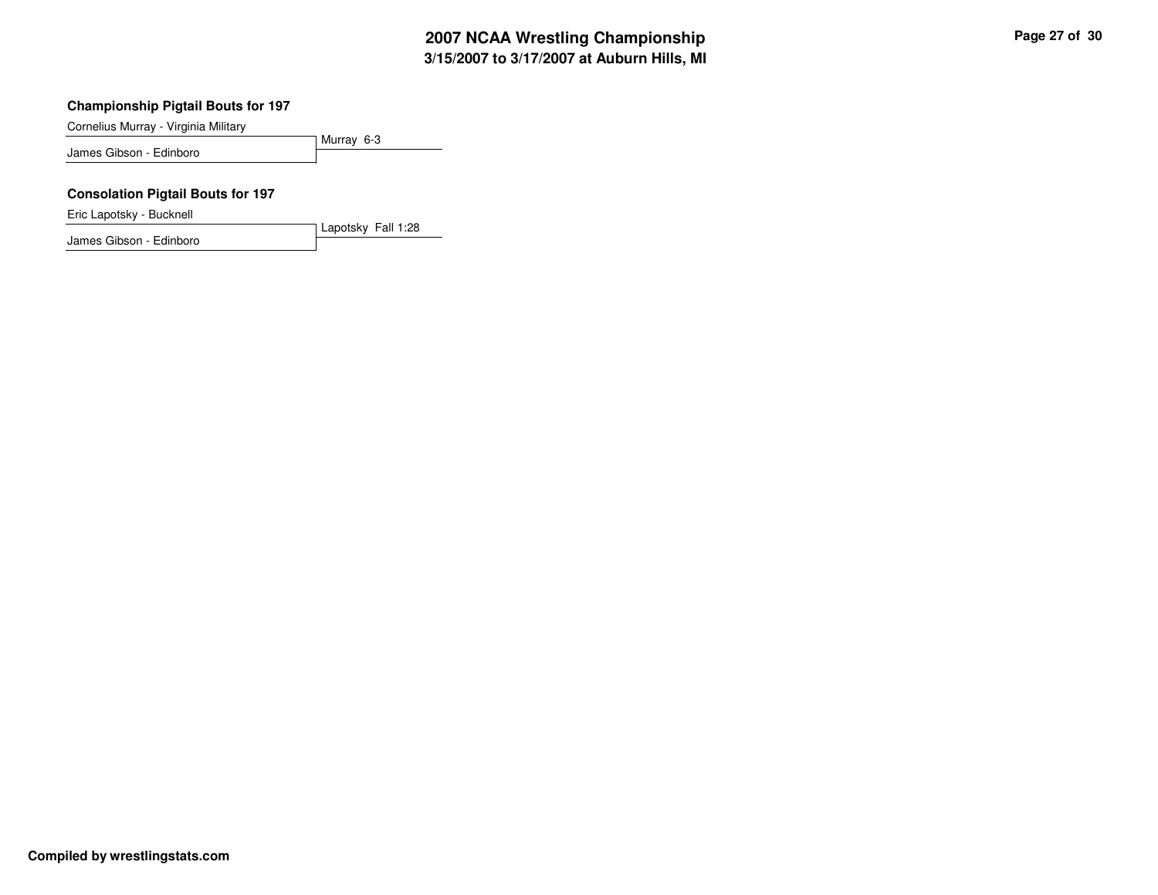### **Championship Pigtail Bouts for 197**

Cornelius Murray - Virginia Military

Murray 6-3 James Gibson - Edinboro

Lapotsky Fall 1:28

### **Consolation Pigtail Bouts for 197**

Eric Lapotsky - Bucknell

James Gibson - Edinboro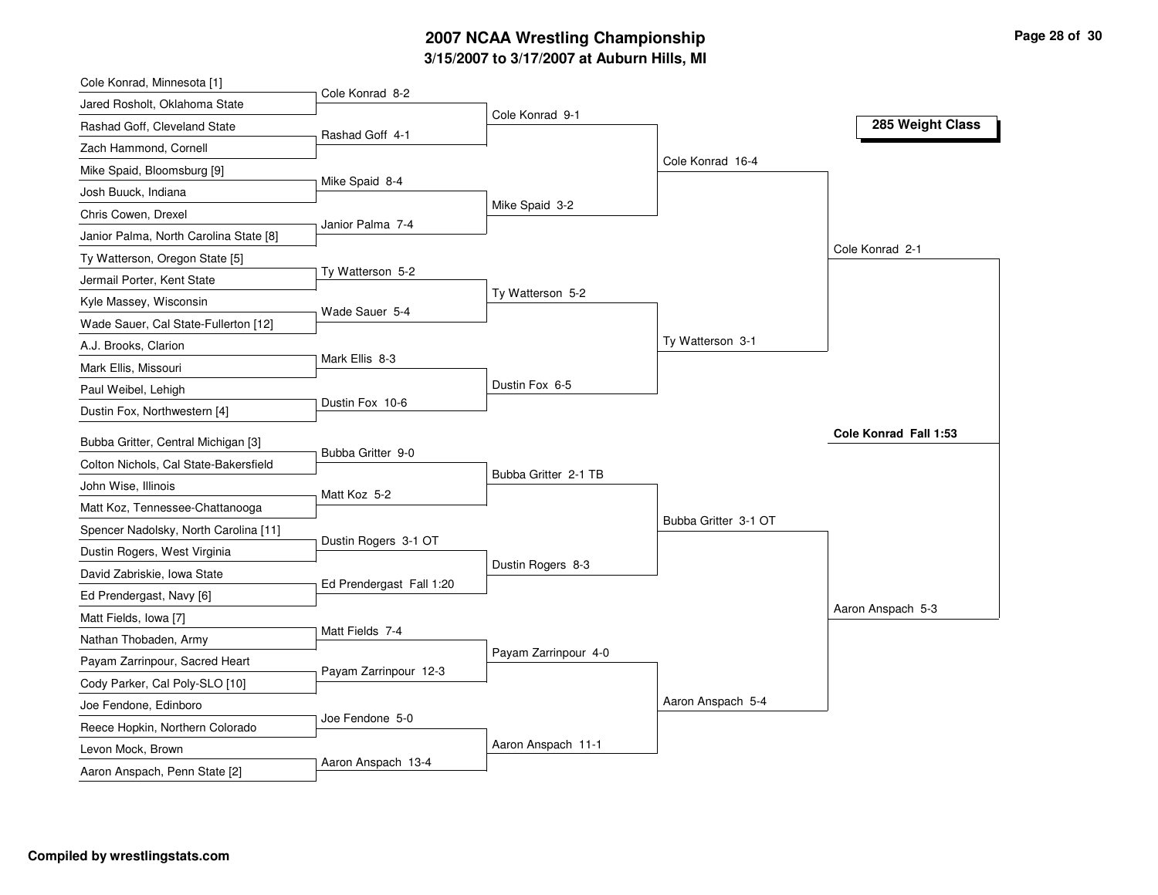### **3/15/2007 to 3/17/2007 at Auburn Hills, MI 2007 NCAA Wrestling Championship Page 28 of 30**

| Cole Konrad, Minnesota [1]             |                          |                      |                      |                       |
|----------------------------------------|--------------------------|----------------------|----------------------|-----------------------|
| Jared Rosholt, Oklahoma State          | Cole Konrad 8-2          |                      |                      |                       |
| Rashad Goff, Cleveland State           | Rashad Goff 4-1          | Cole Konrad 9-1      |                      | 285 Weight Class      |
| Zach Hammond, Cornell                  |                          |                      |                      |                       |
| Mike Spaid, Bloomsburg [9]             |                          |                      | Cole Konrad 16-4     |                       |
| Josh Buuck, Indiana                    | Mike Spaid 8-4           |                      |                      |                       |
| Chris Cowen, Drexel                    |                          | Mike Spaid 3-2       |                      |                       |
| Janior Palma, North Carolina State [8] | Janior Palma 7-4         |                      |                      |                       |
| Ty Watterson, Oregon State [5]         |                          |                      |                      | Cole Konrad 2-1       |
| Jermail Porter, Kent State             | Ty Watterson 5-2         |                      |                      |                       |
| Kyle Massey, Wisconsin                 | Wade Sauer 5-4           | Ty Watterson 5-2     |                      |                       |
| Wade Sauer, Cal State-Fullerton [12]   |                          |                      |                      |                       |
| A.J. Brooks, Clarion                   |                          |                      | Ty Watterson 3-1     |                       |
| Mark Ellis, Missouri                   | Mark Ellis 8-3           |                      |                      |                       |
| Paul Weibel, Lehigh                    |                          | Dustin Fox 6-5       |                      |                       |
| Dustin Fox, Northwestern [4]           | Dustin Fox 10-6          |                      |                      |                       |
| Bubba Gritter, Central Michigan [3]    |                          |                      |                      | Cole Konrad Fall 1:53 |
| Colton Nichols, Cal State-Bakersfield  | Bubba Gritter 9-0        |                      |                      |                       |
| John Wise, Illinois                    |                          | Bubba Gritter 2-1 TB |                      |                       |
| Matt Koz, Tennessee-Chattanooga        | Matt Koz 5-2             |                      |                      |                       |
| Spencer Nadolsky, North Carolina [11]  |                          |                      | Bubba Gritter 3-1 OT |                       |
| Dustin Rogers, West Virginia           | Dustin Rogers 3-1 OT     |                      |                      |                       |
|                                        |                          | Dustin Rogers 8-3    |                      |                       |
| David Zabriskie, Iowa State            | Ed Prendergast Fall 1:20 |                      |                      |                       |
| Ed Prendergast, Navy [6]               |                          |                      |                      | Aaron Anspach 5-3     |
| Matt Fields, Iowa [7]                  | Matt Fields 7-4          |                      |                      |                       |
| Nathan Thobaden, Army                  |                          | Payam Zarrinpour 4-0 |                      |                       |
| Payam Zarrinpour, Sacred Heart         | Payam Zarrinpour 12-3    |                      |                      |                       |
| Cody Parker, Cal Poly-SLO [10]         |                          |                      | Aaron Anspach 5-4    |                       |
| Joe Fendone, Edinboro                  | Joe Fendone 5-0          |                      |                      |                       |
| Reece Hopkin, Northern Colorado        |                          | Aaron Anspach 11-1   |                      |                       |
| Levon Mock, Brown                      | Aaron Anspach 13-4       |                      |                      |                       |
| Aaron Anspach, Penn State [2]          |                          |                      |                      |                       |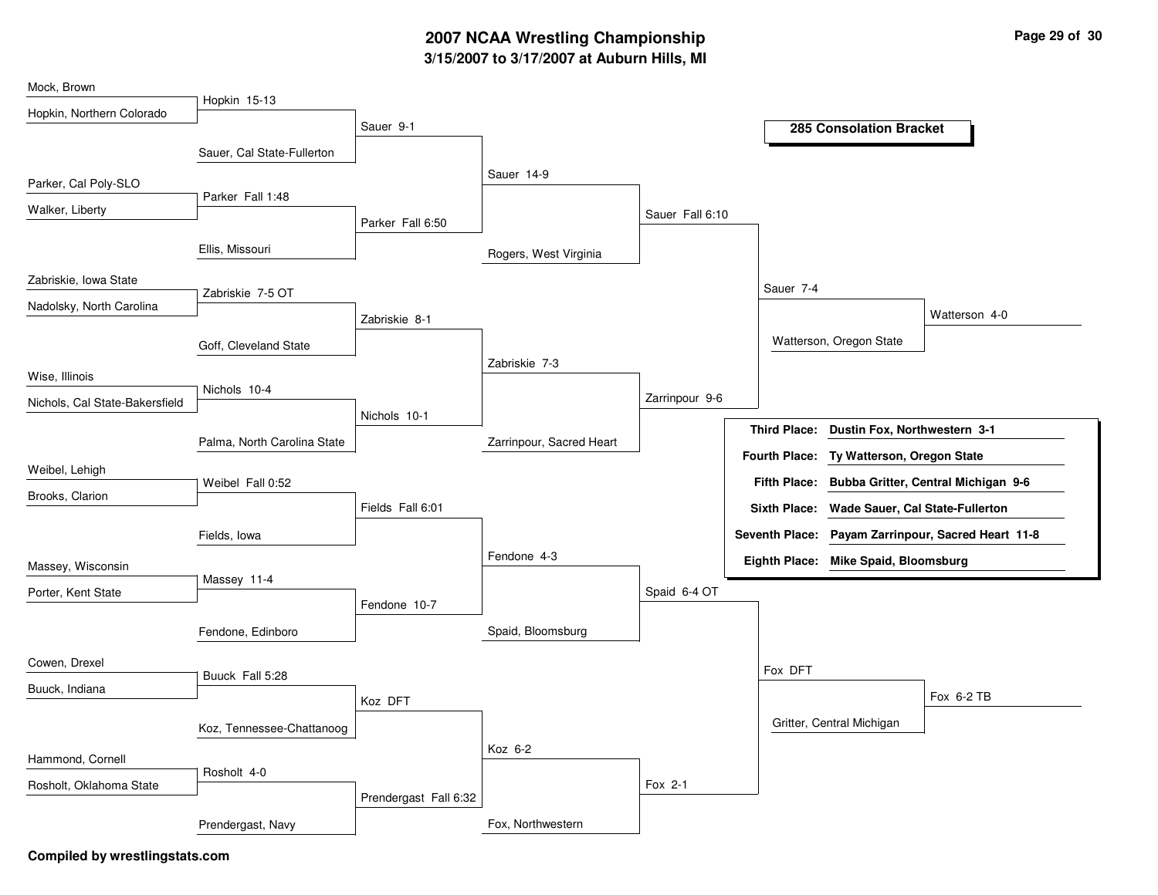# **3/15/2007 to 3/17/2007 at Auburn Hills, MI 2007 NCAA Wrestling Championship Page 29 of 30**

| Hopkin 15-13<br>Hopkin, Northern Colorado<br>Sauer 9-1<br><b>285 Consolation Bracket</b><br>Sauer, Cal State-Fullerton<br>Sauer 14-9<br>Parker, Cal Poly-SLO<br>Parker Fall 1:48<br>Walker, Liberty<br>Sauer Fall 6:10<br>Parker Fall 6:50<br>Ellis, Missouri<br>Rogers, West Virginia<br>Zabriskie, Iowa State<br>Sauer 7-4<br>Zabriskie 7-5 OT<br>Nadolsky, North Carolina<br>Watterson 4-0<br>Zabriskie 8-1<br>Watterson, Oregon State<br>Goff, Cleveland State<br>Zabriskie 7-3<br>Wise, Illinois<br>Nichols 10-4<br>Zarrinpour 9-6<br>Nichols, Cal State-Bakersfield<br>Nichols 10-1 |
|-------------------------------------------------------------------------------------------------------------------------------------------------------------------------------------------------------------------------------------------------------------------------------------------------------------------------------------------------------------------------------------------------------------------------------------------------------------------------------------------------------------------------------------------------------------------------------------------|
|                                                                                                                                                                                                                                                                                                                                                                                                                                                                                                                                                                                           |
|                                                                                                                                                                                                                                                                                                                                                                                                                                                                                                                                                                                           |
|                                                                                                                                                                                                                                                                                                                                                                                                                                                                                                                                                                                           |
|                                                                                                                                                                                                                                                                                                                                                                                                                                                                                                                                                                                           |
|                                                                                                                                                                                                                                                                                                                                                                                                                                                                                                                                                                                           |
|                                                                                                                                                                                                                                                                                                                                                                                                                                                                                                                                                                                           |
|                                                                                                                                                                                                                                                                                                                                                                                                                                                                                                                                                                                           |
|                                                                                                                                                                                                                                                                                                                                                                                                                                                                                                                                                                                           |
|                                                                                                                                                                                                                                                                                                                                                                                                                                                                                                                                                                                           |
|                                                                                                                                                                                                                                                                                                                                                                                                                                                                                                                                                                                           |
|                                                                                                                                                                                                                                                                                                                                                                                                                                                                                                                                                                                           |
|                                                                                                                                                                                                                                                                                                                                                                                                                                                                                                                                                                                           |
|                                                                                                                                                                                                                                                                                                                                                                                                                                                                                                                                                                                           |
|                                                                                                                                                                                                                                                                                                                                                                                                                                                                                                                                                                                           |
| <b>Third Place:</b><br>Dustin Fox, Northwestern 3-1<br>Zarrinpour, Sacred Heart<br>Palma, North Carolina State                                                                                                                                                                                                                                                                                                                                                                                                                                                                            |
| <b>Fourth Place:</b><br>Ty Watterson, Oregon State<br>Weibel, Lehigh                                                                                                                                                                                                                                                                                                                                                                                                                                                                                                                      |
| <b>Fifth Place:</b><br>Bubba Gritter, Central Michigan 9-6<br>Weibel Fall 0:52<br>Brooks, Clarion                                                                                                                                                                                                                                                                                                                                                                                                                                                                                         |
| Fields Fall 6:01<br><b>Sixth Place:</b><br><b>Wade Sauer, Cal State-Fullerton</b>                                                                                                                                                                                                                                                                                                                                                                                                                                                                                                         |
| Seventh Place: Payam Zarrinpour, Sacred Heart 11-8<br>Fields, Iowa                                                                                                                                                                                                                                                                                                                                                                                                                                                                                                                        |
| Fendone 4-3<br>Eighth Place: Mike Spaid, Bloomsburg<br>Massey, Wisconsin                                                                                                                                                                                                                                                                                                                                                                                                                                                                                                                  |
| Massey 11-4<br>Spaid 6-4 OT                                                                                                                                                                                                                                                                                                                                                                                                                                                                                                                                                               |
| Porter, Kent State<br>Fendone 10-7                                                                                                                                                                                                                                                                                                                                                                                                                                                                                                                                                        |
| Spaid, Bloomsburg<br>Fendone, Edinboro                                                                                                                                                                                                                                                                                                                                                                                                                                                                                                                                                    |
| Cowen, Drexel                                                                                                                                                                                                                                                                                                                                                                                                                                                                                                                                                                             |
| Fox DFT<br>Buuck Fall 5:28                                                                                                                                                                                                                                                                                                                                                                                                                                                                                                                                                                |
| Buuck, Indiana<br>Fox 6-2 TB<br>Koz DFT                                                                                                                                                                                                                                                                                                                                                                                                                                                                                                                                                   |
| Gritter, Central Michigan<br>Koz, Tennessee-Chattanoog                                                                                                                                                                                                                                                                                                                                                                                                                                                                                                                                    |
| Koz 6-2                                                                                                                                                                                                                                                                                                                                                                                                                                                                                                                                                                                   |
| Hammond, Cornell                                                                                                                                                                                                                                                                                                                                                                                                                                                                                                                                                                          |
| Rosholt 4-0                                                                                                                                                                                                                                                                                                                                                                                                                                                                                                                                                                               |
| Fox 2-1<br>Rosholt, Oklahoma State<br>Prendergast Fall 6:32                                                                                                                                                                                                                                                                                                                                                                                                                                                                                                                               |